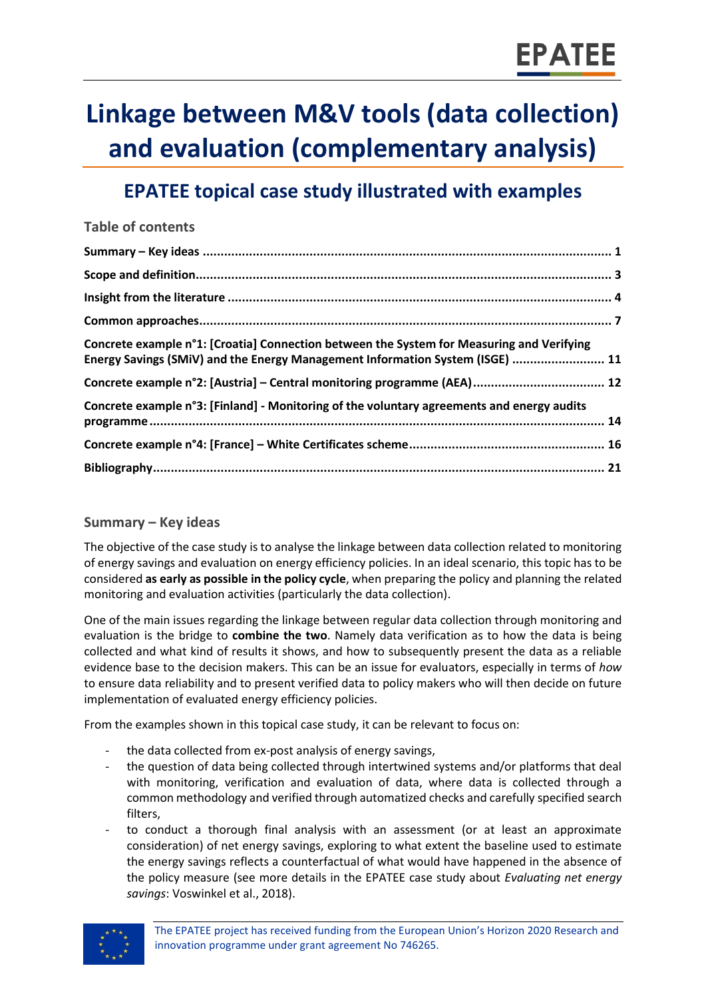## **Linkage between M&V tools (data collection) and evaluation (complementary analysis)**

### **EPATEE topical case study illustrated with examples**

| <b>Table of contents</b>                                                                                                                                                   |  |
|----------------------------------------------------------------------------------------------------------------------------------------------------------------------------|--|
|                                                                                                                                                                            |  |
|                                                                                                                                                                            |  |
|                                                                                                                                                                            |  |
|                                                                                                                                                                            |  |
| Concrete example n°1: [Croatia] Connection between the System for Measuring and Verifying<br>Energy Savings (SMiV) and the Energy Management Information System (ISGE)  11 |  |
|                                                                                                                                                                            |  |
| Concrete example n°3: [Finland] - Monitoring of the voluntary agreements and energy audits                                                                                 |  |
|                                                                                                                                                                            |  |
|                                                                                                                                                                            |  |

#### <span id="page-0-0"></span>**Summary – Key ideas**

The objective of the case study is to analyse the linkage between data collection related to monitoring of energy savings and evaluation on energy efficiency policies. In an ideal scenario, this topic has to be considered **as early as possible in the policy cycle**, when preparing the policy and planning the related monitoring and evaluation activities (particularly the data collection).

One of the main issues regarding the linkage between regular data collection through monitoring and evaluation is the bridge to **combine the two**. Namely data verification as to how the data is being collected and what kind of results it shows, and how to subsequently present the data as a reliable evidence base to the decision makers. This can be an issue for evaluators, especially in terms of *how* to ensure data reliability and to present verified data to policy makers who will then decide on future implementation of evaluated energy efficiency policies.

From the examples shown in this topical case study, it can be relevant to focus on:

- the data collected from ex-post analysis of energy savings,
- the question of data being collected through intertwined systems and/or platforms that deal with monitoring, verification and evaluation of data, where data is collected through a common methodology and verified through automatized checks and carefully specified search filters,
- to conduct a thorough final analysis with an assessment (or at least an approximate consideration) of net energy savings, exploring to what extent the baseline used to estimate the energy savings reflects a counterfactual of what would have happened in the absence of the policy measure (see more details in the EPATEE case study about *Evaluating net energy savings*: Voswinkel et al., 2018).

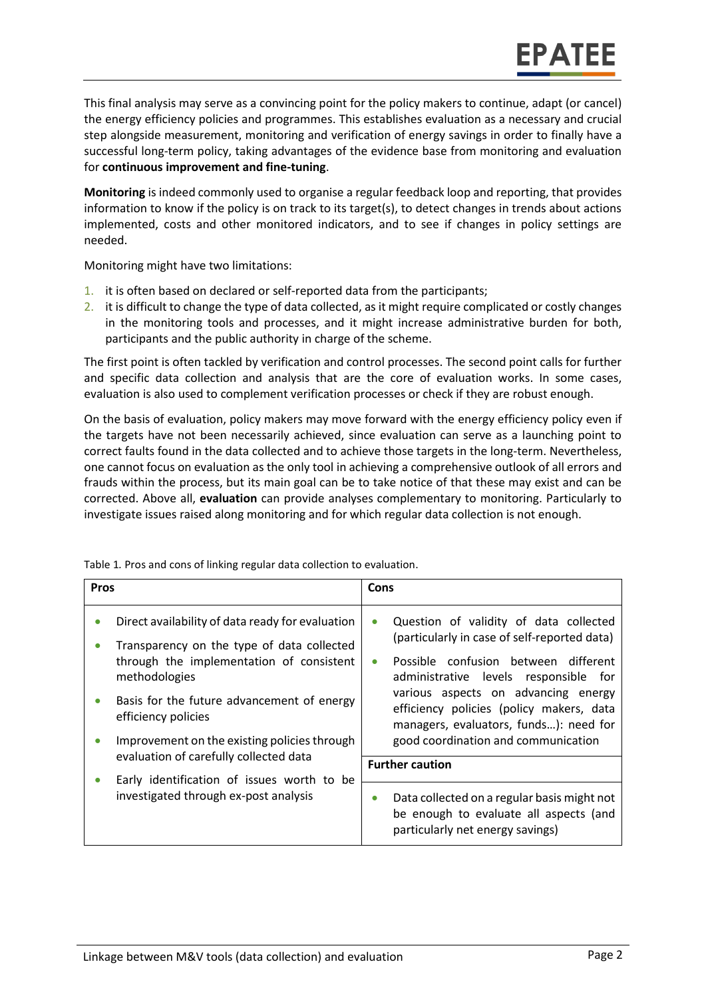EPATEE

**Monitoring** is indeed commonly used to organise a regular feedback loop and reporting, that provides information to know if the policy is on track to its target(s), to detect changes in trends about actions implemented, costs and other monitored indicators, and to see if changes in policy settings are needed.

Monitoring might have two limitations:

- 1. it is often based on declared or self-reported data from the participants;
- 2. it is difficult to change the type of data collected, as it might require complicated or costly changes in the monitoring tools and processes, and it might increase administrative burden for both, participants and the public authority in charge of the scheme.

The first point is often tackled by verification and control processes. The second point calls for further and specific data collection and analysis that are the core of evaluation works. In some cases, evaluation is also used to complement verification processes or check if they are robust enough.

On the basis of evaluation, policy makers may move forward with the energy efficiency policy even if the targets have not been necessarily achieved, since evaluation can serve as a launching point to correct faults found in the data collected and to achieve those targets in the long-term. Nevertheless, one cannot focus on evaluation as the only tool in achieving a comprehensive outlook of all errors and frauds within the process, but its main goal can be to take notice of that these may exist and can be corrected. Above all, **evaluation** can provide analyses complementary to monitoring. Particularly to investigate issues raised along monitoring and for which regular data collection is not enough.

| <b>Pros</b> |                                                                                                                                                                                                                                                                                  | Cons                                             |                                                                                                                                                                                                                                                                                                                                             |
|-------------|----------------------------------------------------------------------------------------------------------------------------------------------------------------------------------------------------------------------------------------------------------------------------------|--------------------------------------------------|---------------------------------------------------------------------------------------------------------------------------------------------------------------------------------------------------------------------------------------------------------------------------------------------------------------------------------------------|
| $\bullet$   | Direct availability of data ready for evaluation<br>Transparency on the type of data collected<br>through the implementation of consistent<br>methodologies<br>Basis for the future advancement of energy<br>efficiency policies<br>Improvement on the existing policies through | $\bullet$<br>$\bullet$<br><b>Further caution</b> | Question of validity of data collected<br>(particularly in case of self-reported data)<br>Possible confusion between different<br>administrative levels responsible for<br>various aspects on advancing energy<br>efficiency policies (policy makers, data<br>managers, evaluators, funds): need for<br>good coordination and communication |
|             | evaluation of carefully collected data                                                                                                                                                                                                                                           |                                                  |                                                                                                                                                                                                                                                                                                                                             |
|             | Early identification of issues worth to be<br>investigated through ex-post analysis                                                                                                                                                                                              | $\bullet$                                        | Data collected on a regular basis might not<br>be enough to evaluate all aspects (and<br>particularly net energy savings)                                                                                                                                                                                                                   |

Table 1*.* Pros and cons of linking regular data collection to evaluation.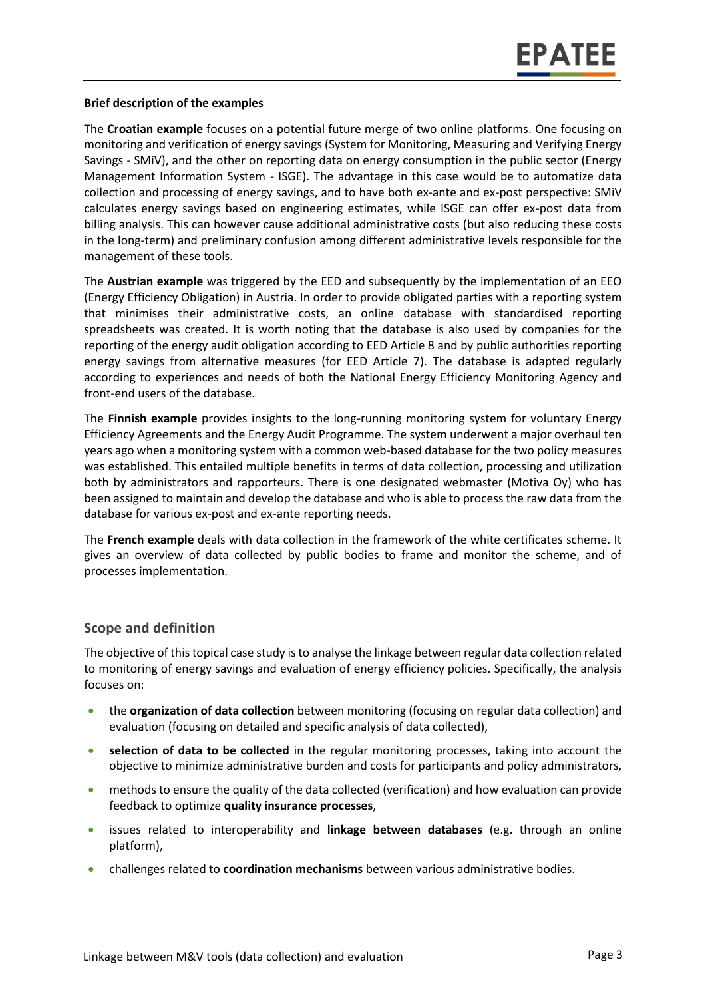#### **Brief description of the examples**

The **Croatian example** focuses on a potential future merge of two online platforms. One focusing on monitoring and verification of energy savings (System for Monitoring, Measuring and Verifying Energy Savings - SMiV), and the other on reporting data on energy consumption in the public sector (Energy Management Information System - ISGE). The advantage in this case would be to automatize data collection and processing of energy savings, and to have both ex-ante and ex-post perspective: SMiV calculates energy savings based on engineering estimates, while ISGE can offer ex-post data from billing analysis. This can however cause additional administrative costs (but also reducing these costs in the long-term) and preliminary confusion among different administrative levels responsible for the management of these tools.

The **Austrian example** was triggered by the EED and subsequently by the implementation of an EEO (Energy Efficiency Obligation) in Austria. In order to provide obligated parties with a reporting system that minimises their administrative costs, an online database with standardised reporting spreadsheets was created. It is worth noting that the database is also used by companies for the reporting of the energy audit obligation according to EED Article 8 and by public authorities reporting energy savings from alternative measures (for EED Article 7). The database is adapted regularly according to experiences and needs of both the National Energy Efficiency Monitoring Agency and front-end users of the database.

The **Finnish example** provides insights to the long-running monitoring system for voluntary Energy Efficiency Agreements and the Energy Audit Programme. The system underwent a major overhaul ten years ago when a monitoring system with a common web-based database for the two policy measures was established. This entailed multiple benefits in terms of data collection, processing and utilization both by administrators and rapporteurs. There is one designated webmaster (Motiva Oy) who has been assigned to maintain and develop the database and who is able to process the raw data from the database for various ex-post and ex-ante reporting needs.

The **French example** deals with data collection in the framework of the white certificates scheme. It gives an overview of data collected by public bodies to frame and monitor the scheme, and of processes implementation.

#### <span id="page-2-0"></span>**Scope and definition**

The objective of this topical case study is to analyse the linkage between regular data collection related to monitoring of energy savings and evaluation of energy efficiency policies. Specifically, the analysis focuses on:

- the **organization of data collection** between monitoring (focusing on regular data collection) and evaluation (focusing on detailed and specific analysis of data collected),
- **selection of data to be collected** in the regular monitoring processes, taking into account the objective to minimize administrative burden and costs for participants and policy administrators,
- methods to ensure the quality of the data collected (verification) and how evaluation can provide feedback to optimize **quality insurance processes**,
- issues related to interoperability and **linkage between databases** (e.g. through an online platform),
- challenges related to **coordination mechanisms** between various administrative bodies.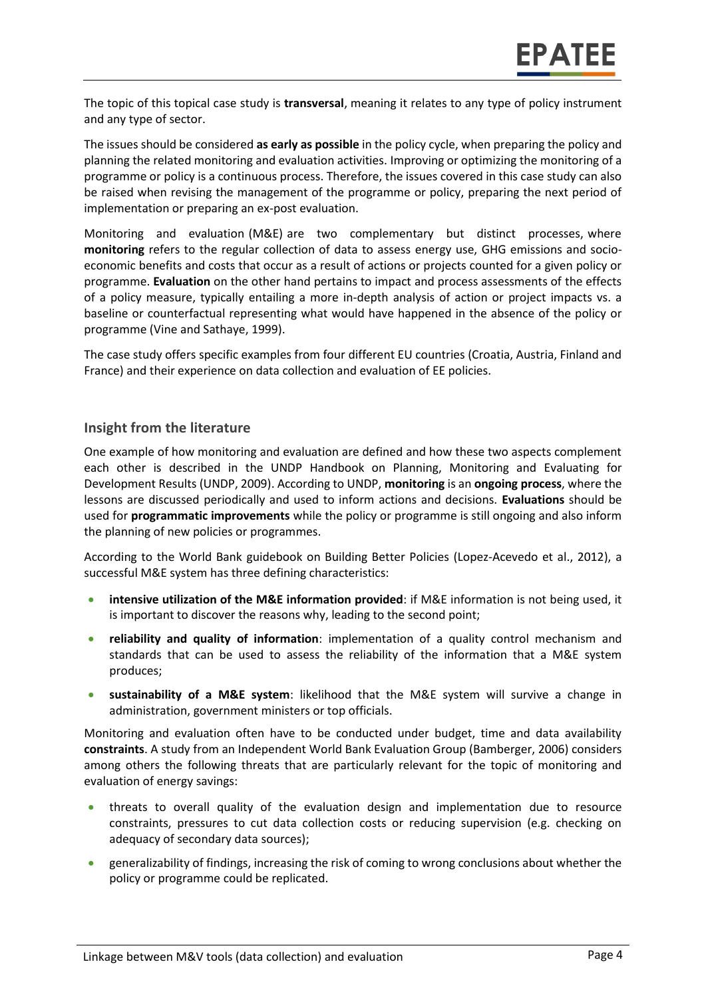The topic of this topical case study is **transversal**, meaning it relates to any type of policy instrument and any type of sector.

The issues should be considered **as early as possible** in the policy cycle, when preparing the policy and planning the related monitoring and evaluation activities. Improving or optimizing the monitoring of a programme or policy is a continuous process. Therefore, the issues covered in this case study can also be raised when revising the management of the programme or policy, preparing the next period of implementation or preparing an ex-post evaluation.

Monitoring and evaluation (M&E) are two complementary but distinct processes, where **monitoring** refers to the regular collection of data to assess energy use, GHG emissions and socioeconomic benefits and costs that occur as a result of actions or projects counted for a given policy or programme. **Evaluation** on the other hand pertains to impact and process assessments of the effects of a policy measure, typically entailing a more in-depth analysis of action or project impacts vs. a baseline or counterfactual representing what would have happened in the absence of the policy or programme (Vine and Sathaye, 1999).

The case study offers specific examples from four different EU countries (Croatia, Austria, Finland and France) and their experience on data collection and evaluation of EE policies.

#### <span id="page-3-0"></span>**Insight from the literature**

One example of how monitoring and evaluation are defined and how these two aspects complement each other is described in the UNDP Handbook on Planning, Monitoring and Evaluating for Development Results (UNDP, 2009). According to UNDP, **monitoring** is an **ongoing process**, where the lessons are discussed periodically and used to inform actions and decisions. **Evaluations** should be used for **programmatic improvements** while the policy or programme is still ongoing and also inform the planning of new policies or programmes.

According to the World Bank guidebook on Building Better Policies (Lopez-Acevedo et al., 2012), a successful M&E system has three defining characteristics:

- **•** intensive utilization of the M&E information provided: if M&E information is not being used, it is important to discover the reasons why, leading to the second point;
- **reliability and quality of information**: implementation of a quality control mechanism and standards that can be used to assess the reliability of the information that a M&E system produces;
- **sustainability of a M&E system**: likelihood that the M&E system will survive a change in administration, government ministers or top officials.

Monitoring and evaluation often have to be conducted under budget, time and data availability **constraints**. A study from an Independent World Bank Evaluation Group (Bamberger, 2006) considers among others the following threats that are particularly relevant for the topic of monitoring and evaluation of energy savings:

- threats to overall quality of the evaluation design and implementation due to resource constraints, pressures to cut data collection costs or reducing supervision (e.g. checking on adequacy of secondary data sources);
- generalizability of findings, increasing the risk of coming to wrong conclusions about whether the policy or programme could be replicated.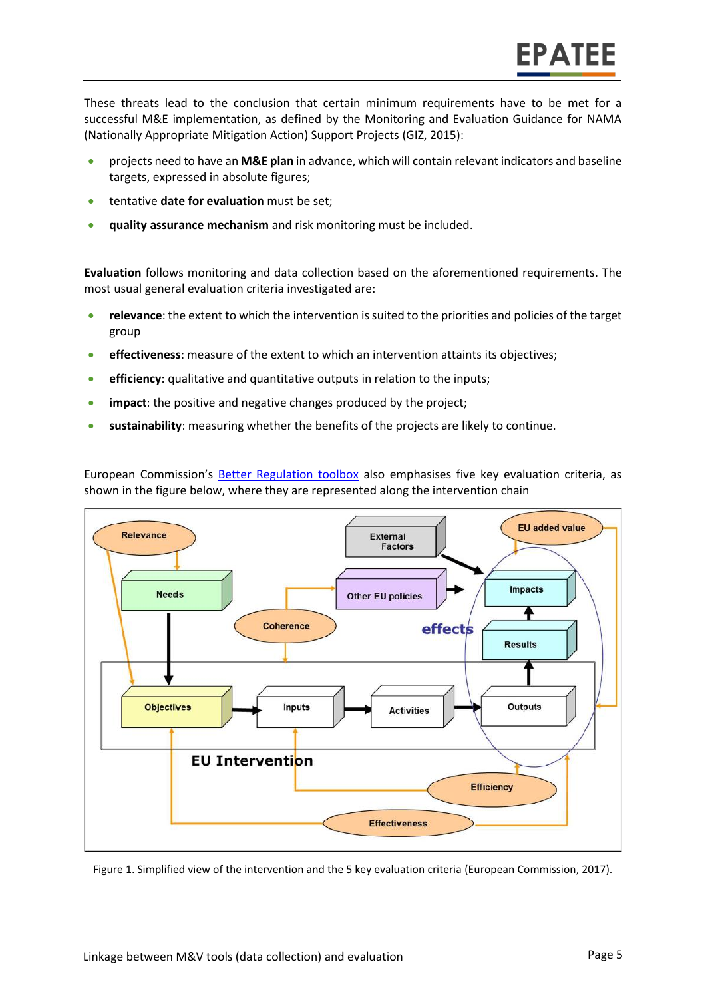These threats lead to the conclusion that certain minimum requirements have to be met for a successful M&E implementation, as defined by the Monitoring and Evaluation Guidance for NAMA (Nationally Appropriate Mitigation Action) Support Projects (GIZ, 2015):

- projects need to have an **M&E plan** in advance, which will contain relevant indicators and baseline targets, expressed in absolute figures;
- **tentative date for evaluation** must be set;
- **quality assurance mechanism** and risk monitoring must be included.

**Evaluation** follows monitoring and data collection based on the aforementioned requirements. The most usual general evaluation criteria investigated are:

- **relevance**: the extent to which the intervention is suited to the priorities and policies of the target group
- **effectiveness**: measure of the extent to which an intervention attaints its objectives;
- **efficiency**: qualitative and quantitative outputs in relation to the inputs;
- **impact**: the positive and negative changes produced by the project;
- **sustainability**: measuring whether the benefits of the projects are likely to continue.

European Commission's [Better Regulation toolbox](https://ec.europa.eu/info/better-regulation-toolbox_en) also emphasises five key evaluation criteria, as shown in the figure below, where they are represented along the intervention chain



Figure 1. Simplified view of the intervention and the 5 key evaluation criteria (European Commission, 2017).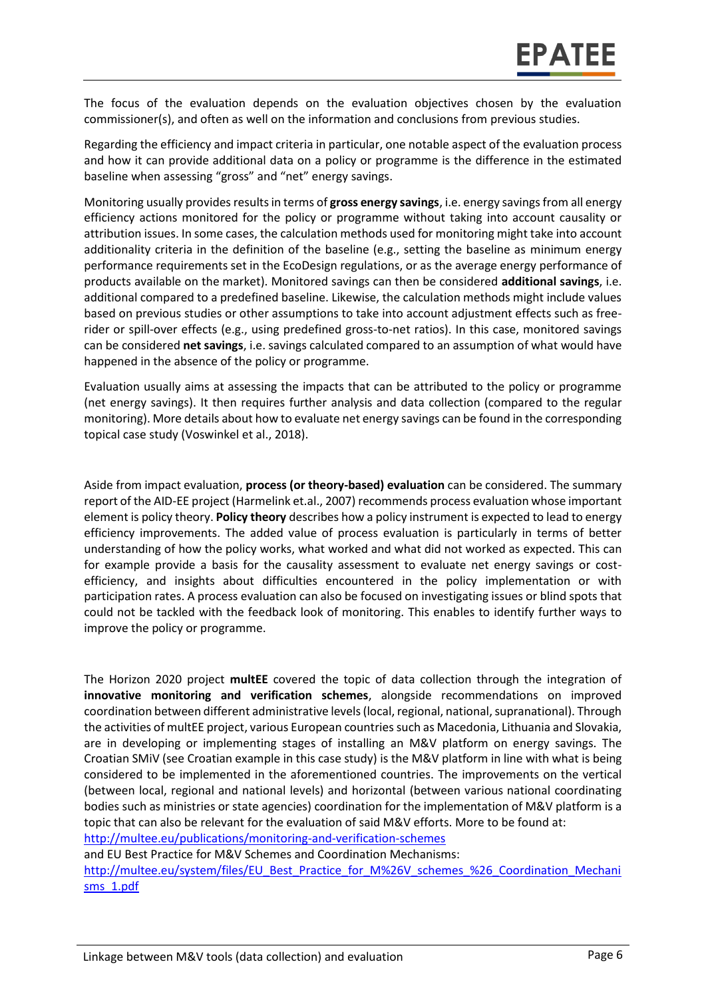The focus of the evaluation depends on the evaluation objectives chosen by the evaluation commissioner(s), and often as well on the information and conclusions from previous studies.

Regarding the efficiency and impact criteria in particular, one notable aspect of the evaluation process and how it can provide additional data on a policy or programme is the difference in the estimated baseline when assessing "gross" and "net" energy savings.

Monitoring usually provides results in terms of **gross energy savings**, i.e. energy savings from all energy efficiency actions monitored for the policy or programme without taking into account causality or attribution issues. In some cases, the calculation methods used for monitoring might take into account additionality criteria in the definition of the baseline (e.g., setting the baseline as minimum energy performance requirements set in the EcoDesign regulations, or as the average energy performance of products available on the market). Monitored savings can then be considered **additional savings**, i.e. additional compared to a predefined baseline. Likewise, the calculation methods might include values based on previous studies or other assumptions to take into account adjustment effects such as freerider or spill-over effects (e.g., using predefined gross-to-net ratios). In this case, monitored savings can be considered **net savings**, i.e. savings calculated compared to an assumption of what would have happened in the absence of the policy or programme.

Evaluation usually aims at assessing the impacts that can be attributed to the policy or programme (net energy savings). It then requires further analysis and data collection (compared to the regular monitoring). More details about how to evaluate net energy savings can be found in the corresponding topical case study (Voswinkel et al., 2018).

Aside from impact evaluation, **process (or theory-based) evaluation** can be considered. The summary report of the AID-EE project (Harmelink et.al., 2007) recommends process evaluation whose important element is policy theory. **Policy theory** describes how a policy instrument is expected to lead to energy efficiency improvements. The added value of process evaluation is particularly in terms of better understanding of how the policy works, what worked and what did not worked as expected. This can for example provide a basis for the causality assessment to evaluate net energy savings or costefficiency, and insights about difficulties encountered in the policy implementation or with participation rates. A process evaluation can also be focused on investigating issues or blind spots that could not be tackled with the feedback look of monitoring. This enables to identify further ways to improve the policy or programme.

The Horizon 2020 project **multEE** covered the topic of data collection through the integration of **innovative monitoring and verification schemes**, alongside recommendations on improved coordination between different administrative levels (local, regional, national, supranational). Through the activities of multEE project, various European countries such as Macedonia, Lithuania and Slovakia, are in developing or implementing stages of installing an M&V platform on energy savings. The Croatian SMiV (see Croatian example in this case study) is the M&V platform in line with what is being considered to be implemented in the aforementioned countries. The improvements on the vertical (between local, regional and national levels) and horizontal (between various national coordinating bodies such as ministries or state agencies) coordination for the implementation of M&V platform is a topic that can also be relevant for the evaluation of said M&V efforts. More to be found at: <http://multee.eu/publications/monitoring-and-verification-schemes>

and EU Best Practice for M&V Schemes and Coordination Mechanisms:

[http://multee.eu/system/files/EU\\_Best\\_Practice\\_for\\_M%26V\\_schemes\\_%26\\_Coordination\\_Mechani](http://multee.eu/system/files/EU_Best_Practice_for_M%26V_schemes_%26_Coordination_Mechanisms_1.pdf) [sms\\_1.pdf](http://multee.eu/system/files/EU_Best_Practice_for_M%26V_schemes_%26_Coordination_Mechanisms_1.pdf)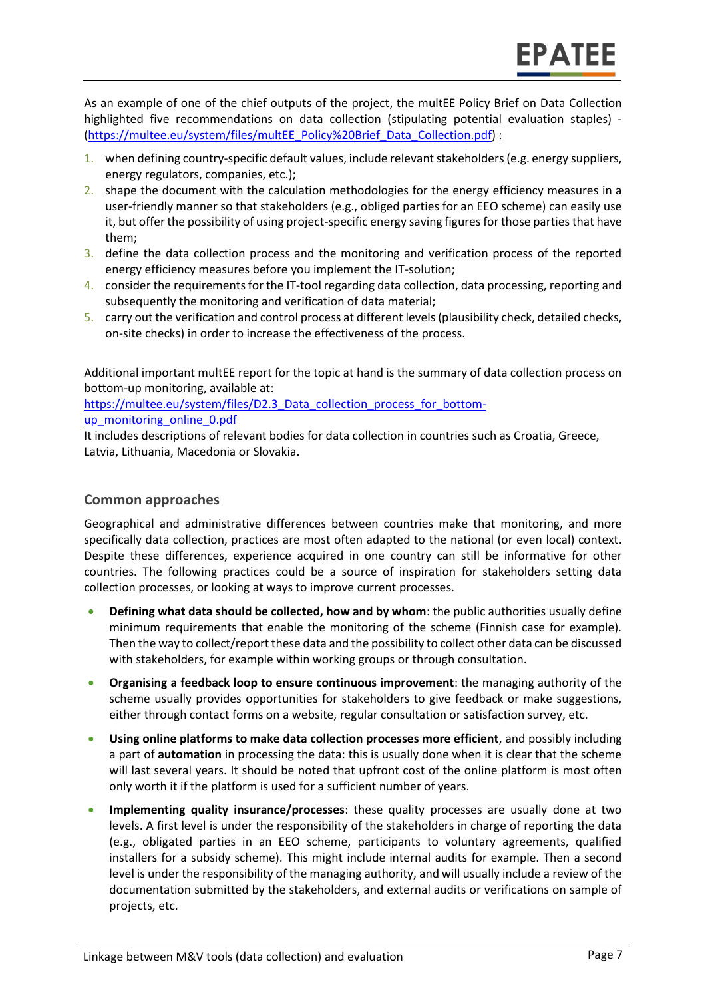As an example of one of the chief outputs of the project, the multEE Policy Brief on Data Collection highlighted five recommendations on data collection (stipulating potential evaluation staples) - [\(https://multee.eu/system/files/multEE\\_Policy%20Brief\\_Data\\_Collection.pdf\)](https://multee.eu/system/files/multEE_Policy%20Brief_Data_Collection.pdf) :

- 1. when defining country-specific default values, include relevant stakeholders (e.g. energy suppliers, energy regulators, companies, etc.);
- 2. shape the document with the calculation methodologies for the energy efficiency measures in a user-friendly manner so that stakeholders (e.g., obliged parties for an EEO scheme) can easily use it, but offer the possibility of using project-specific energy saving figures for those parties that have them;
- 3. define the data collection process and the monitoring and verification process of the reported energy efficiency measures before you implement the IT-solution;
- 4. consider the requirements for the IT-tool regarding data collection, data processing, reporting and subsequently the monitoring and verification of data material;
- 5. carry out the verification and control process at different levels (plausibility check, detailed checks, on-site checks) in order to increase the effectiveness of the process.

Additional important multEE report for the topic at hand is the summary of data collection process on bottom-up monitoring, available at:

https://multee.eu/system/files/D2.3 Data\_collection\_process\_for\_bottom-

[up\\_monitoring\\_online\\_0.pdf](https://multee.eu/system/files/D2.3_Data_collection_process_for_bottom-up_monitoring_online_0.pdf)

It includes descriptions of relevant bodies for data collection in countries such as Croatia, Greece, Latvia, Lithuania, Macedonia or Slovakia.

#### <span id="page-6-0"></span>**Common approaches**

Geographical and administrative differences between countries make that monitoring, and more specifically data collection, practices are most often adapted to the national (or even local) context. Despite these differences, experience acquired in one country can still be informative for other countries. The following practices could be a source of inspiration for stakeholders setting data collection processes, or looking at ways to improve current processes.

- **Defining what data should be collected, how and by whom**: the public authorities usually define minimum requirements that enable the monitoring of the scheme (Finnish case for example). Then the way to collect/report these data and the possibility to collect other data can be discussed with stakeholders, for example within working groups or through consultation.
- **Organising a feedback loop to ensure continuous improvement**: the managing authority of the scheme usually provides opportunities for stakeholders to give feedback or make suggestions, either through contact forms on a website, regular consultation or satisfaction survey, etc.
- **Using online platforms to make data collection processes more efficient**, and possibly including a part of **automation** in processing the data: this is usually done when it is clear that the scheme will last several years. It should be noted that upfront cost of the online platform is most often only worth it if the platform is used for a sufficient number of years.
- **Implementing quality insurance/processes**: these quality processes are usually done at two levels. A first level is under the responsibility of the stakeholders in charge of reporting the data (e.g., obligated parties in an EEO scheme, participants to voluntary agreements, qualified installers for a subsidy scheme). This might include internal audits for example. Then a second level is under the responsibility of the managing authority, and will usually include a review of the documentation submitted by the stakeholders, and external audits or verifications on sample of projects, etc.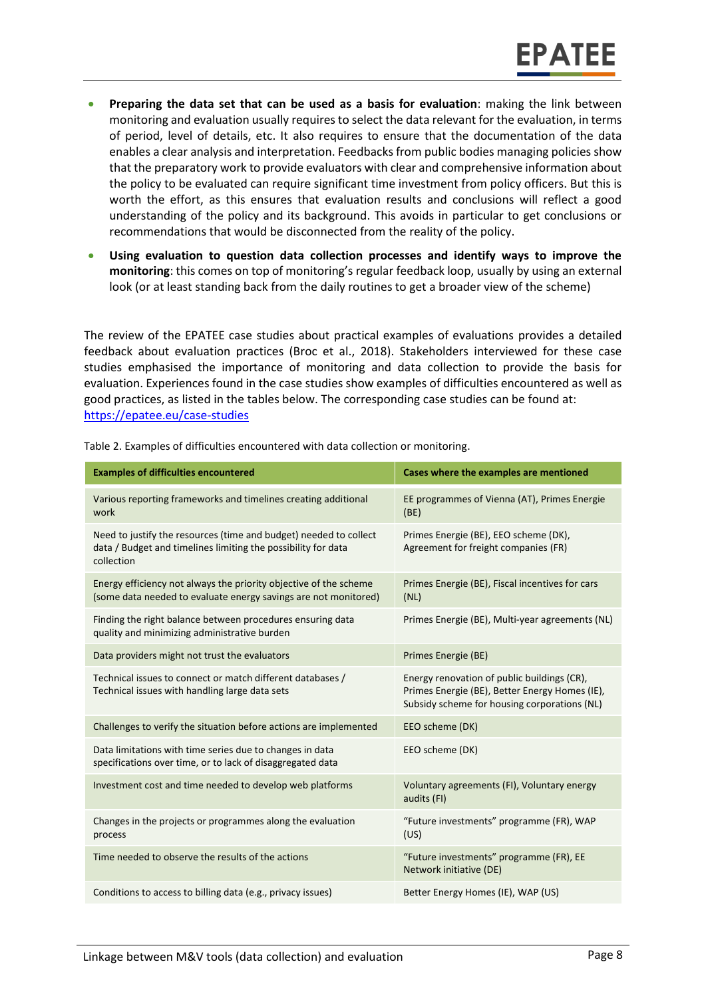- **Preparing the data set that can be used as a basis for evaluation**: making the link between monitoring and evaluation usually requires to select the data relevant for the evaluation, in terms of period, level of details, etc. It also requires to ensure that the documentation of the data enables a clear analysis and interpretation. Feedbacks from public bodies managing policies show that the preparatory work to provide evaluators with clear and comprehensive information about the policy to be evaluated can require significant time investment from policy officers. But this is worth the effort, as this ensures that evaluation results and conclusions will reflect a good understanding of the policy and its background. This avoids in particular to get conclusions or recommendations that would be disconnected from the reality of the policy.
- **Using evaluation to question data collection processes and identify ways to improve the monitoring**: this comes on top of monitoring's regular feedback loop, usually by using an external look (or at least standing back from the daily routines to get a broader view of the scheme)

The review of the EPATEE case studies about practical examples of evaluations provides a detailed feedback about evaluation practices (Broc et al., 2018). Stakeholders interviewed for these case studies emphasised the importance of monitoring and data collection to provide the basis for evaluation. Experiences found in the case studies show examples of difficulties encountered as well as good practices, as listed in the tables below. The corresponding case studies can be found at: <https://epatee.eu/case-studies>

| <b>Examples of difficulties encountered</b>                                                                                                      | Cases where the examples are mentioned                                                                                                        |
|--------------------------------------------------------------------------------------------------------------------------------------------------|-----------------------------------------------------------------------------------------------------------------------------------------------|
| Various reporting frameworks and timelines creating additional<br>work                                                                           | EE programmes of Vienna (AT), Primes Energie<br>(BE)                                                                                          |
| Need to justify the resources (time and budget) needed to collect<br>data / Budget and timelines limiting the possibility for data<br>collection | Primes Energie (BE), EEO scheme (DK),<br>Agreement for freight companies (FR)                                                                 |
| Energy efficiency not always the priority objective of the scheme<br>(some data needed to evaluate energy savings are not monitored)             | Primes Energie (BE), Fiscal incentives for cars<br>(NL)                                                                                       |
| Finding the right balance between procedures ensuring data<br>quality and minimizing administrative burden                                       | Primes Energie (BE), Multi-year agreements (NL)                                                                                               |
| Data providers might not trust the evaluators                                                                                                    | Primes Energie (BE)                                                                                                                           |
| Technical issues to connect or match different databases /<br>Technical issues with handling large data sets                                     | Energy renovation of public buildings (CR),<br>Primes Energie (BE), Better Energy Homes (IE),<br>Subsidy scheme for housing corporations (NL) |
| Challenges to verify the situation before actions are implemented                                                                                | EEO scheme (DK)                                                                                                                               |
| Data limitations with time series due to changes in data<br>specifications over time, or to lack of disaggregated data                           | EEO scheme (DK)                                                                                                                               |
| Investment cost and time needed to develop web platforms                                                                                         | Voluntary agreements (FI), Voluntary energy<br>audits (FI)                                                                                    |
| Changes in the projects or programmes along the evaluation<br>process                                                                            | "Future investments" programme (FR), WAP<br>(US)                                                                                              |
| Time needed to observe the results of the actions                                                                                                | "Future investments" programme (FR), EE<br>Network initiative (DE)                                                                            |
| Conditions to access to billing data (e.g., privacy issues)                                                                                      | Better Energy Homes (IE), WAP (US)                                                                                                            |

Table 2. Examples of difficulties encountered with data collection or monitoring.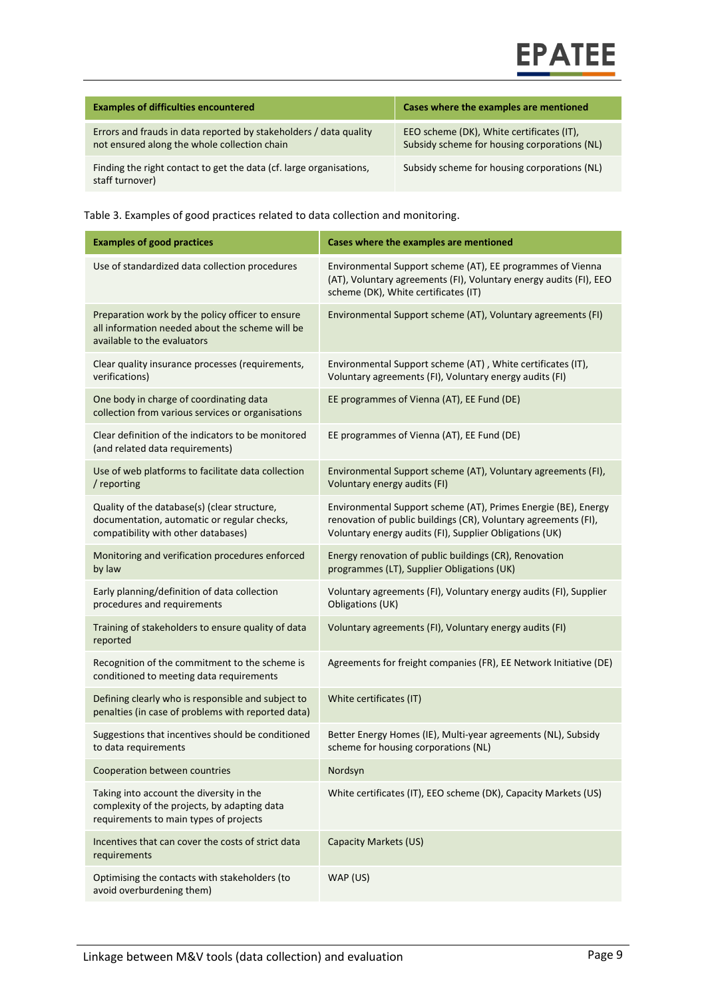# **EPATEE**

| <b>Examples of difficulties encountered</b>                                                                       | Cases where the examples are mentioned                                                    |
|-------------------------------------------------------------------------------------------------------------------|-------------------------------------------------------------------------------------------|
| Errors and frauds in data reported by stakeholders / data quality<br>not ensured along the whole collection chain | EEO scheme (DK), White certificates (IT),<br>Subsidy scheme for housing corporations (NL) |
| Finding the right contact to get the data (cf. large organisations,<br>staff turnover)                            | Subsidy scheme for housing corporations (NL)                                              |

Table 3. Examples of good practices related to data collection and monitoring.

| <b>Examples of good practices</b>                                                                                                  | Cases where the examples are mentioned                                                                                                                                                       |
|------------------------------------------------------------------------------------------------------------------------------------|----------------------------------------------------------------------------------------------------------------------------------------------------------------------------------------------|
| Use of standardized data collection procedures                                                                                     | Environmental Support scheme (AT), EE programmes of Vienna<br>(AT), Voluntary agreements (FI), Voluntary energy audits (FI), EEO<br>scheme (DK), White certificates (IT)                     |
| Preparation work by the policy officer to ensure<br>all information needed about the scheme will be<br>available to the evaluators | Environmental Support scheme (AT), Voluntary agreements (FI)                                                                                                                                 |
| Clear quality insurance processes (requirements,<br>verifications)                                                                 | Environmental Support scheme (AT), White certificates (IT),<br>Voluntary agreements (FI), Voluntary energy audits (FI)                                                                       |
| One body in charge of coordinating data<br>collection from various services or organisations                                       | EE programmes of Vienna (AT), EE Fund (DE)                                                                                                                                                   |
| Clear definition of the indicators to be monitored<br>(and related data requirements)                                              | EE programmes of Vienna (AT), EE Fund (DE)                                                                                                                                                   |
| Use of web platforms to facilitate data collection<br>/ reporting                                                                  | Environmental Support scheme (AT), Voluntary agreements (FI),<br>Voluntary energy audits (FI)                                                                                                |
| Quality of the database(s) (clear structure,<br>documentation, automatic or regular checks,<br>compatibility with other databases) | Environmental Support scheme (AT), Primes Energie (BE), Energy<br>renovation of public buildings (CR), Voluntary agreements (FI),<br>Voluntary energy audits (FI), Supplier Obligations (UK) |
| Monitoring and verification procedures enforced<br>by law                                                                          | Energy renovation of public buildings (CR), Renovation<br>programmes (LT), Supplier Obligations (UK)                                                                                         |
| Early planning/definition of data collection<br>procedures and requirements                                                        | Voluntary agreements (FI), Voluntary energy audits (FI), Supplier<br>Obligations (UK)                                                                                                        |
| Training of stakeholders to ensure quality of data<br>reported                                                                     | Voluntary agreements (FI), Voluntary energy audits (FI)                                                                                                                                      |
| Recognition of the commitment to the scheme is<br>conditioned to meeting data requirements                                         | Agreements for freight companies (FR), EE Network Initiative (DE)                                                                                                                            |
| Defining clearly who is responsible and subject to<br>penalties (in case of problems with reported data)                           | White certificates (IT)                                                                                                                                                                      |
| Suggestions that incentives should be conditioned<br>to data requirements                                                          | Better Energy Homes (IE), Multi-year agreements (NL), Subsidy<br>scheme for housing corporations (NL)                                                                                        |
| Cooperation between countries                                                                                                      | Nordsyn                                                                                                                                                                                      |
| Taking into account the diversity in the<br>complexity of the projects, by adapting data<br>requirements to main types of projects | White certificates (IT), EEO scheme (DK), Capacity Markets (US)                                                                                                                              |
| Incentives that can cover the costs of strict data<br>requirements                                                                 | Capacity Markets (US)                                                                                                                                                                        |
| Optimising the contacts with stakeholders (to<br>avoid overburdening them)                                                         | WAP (US)                                                                                                                                                                                     |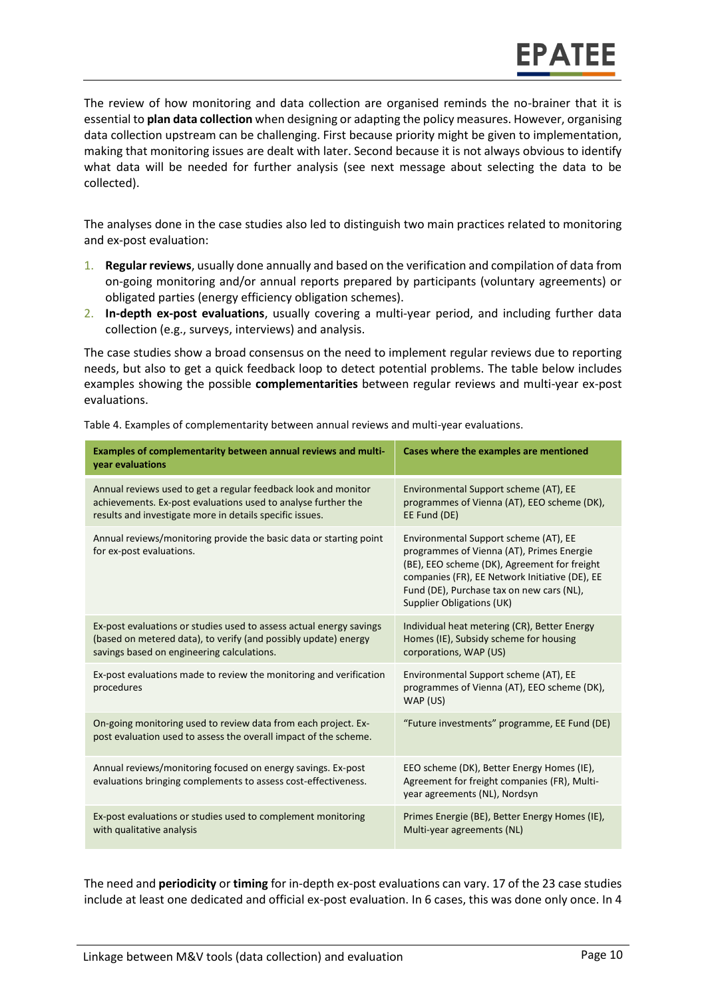The review of how monitoring and data collection are organised reminds the no-brainer that it is essential to **plan data collection** when designing or adapting the policy measures. However, organising data collection upstream can be challenging. First because priority might be given to implementation, making that monitoring issues are dealt with later. Second because it is not always obvious to identify what data will be needed for further analysis (see next message about selecting the data to be collected).

The analyses done in the case studies also led to distinguish two main practices related to monitoring and ex-post evaluation:

- 1. **Regular reviews**, usually done annually and based on the verification and compilation of data from on-going monitoring and/or annual reports prepared by participants (voluntary agreements) or obligated parties (energy efficiency obligation schemes).
- 2. **In-depth ex-post evaluations**, usually covering a multi-year period, and including further data collection (e.g., surveys, interviews) and analysis.

The case studies show a broad consensus on the need to implement regular reviews due to reporting needs, but also to get a quick feedback loop to detect potential problems. The table below includes examples showing the possible **complementarities** between regular reviews and multi-year ex-post evaluations.

| Examples of complementarity between annual reviews and multi-<br>year evaluations                                                                                                           | Cases where the examples are mentioned                                                                                                                                                                                                                                |
|---------------------------------------------------------------------------------------------------------------------------------------------------------------------------------------------|-----------------------------------------------------------------------------------------------------------------------------------------------------------------------------------------------------------------------------------------------------------------------|
| Annual reviews used to get a regular feedback look and monitor<br>achievements. Ex-post evaluations used to analyse further the<br>results and investigate more in details specific issues. | Environmental Support scheme (AT), EE<br>programmes of Vienna (AT), EEO scheme (DK),<br>EE Fund (DE)                                                                                                                                                                  |
| Annual reviews/monitoring provide the basic data or starting point<br>for ex-post evaluations.                                                                                              | Environmental Support scheme (AT), EE<br>programmes of Vienna (AT), Primes Energie<br>(BE), EEO scheme (DK), Agreement for freight<br>companies (FR), EE Network Initiative (DE), EE<br>Fund (DE), Purchase tax on new cars (NL),<br><b>Supplier Obligations (UK)</b> |
| Ex-post evaluations or studies used to assess actual energy savings<br>(based on metered data), to verify (and possibly update) energy<br>savings based on engineering calculations.        | Individual heat metering (CR), Better Energy<br>Homes (IE), Subsidy scheme for housing<br>corporations, WAP (US)                                                                                                                                                      |
| Ex-post evaluations made to review the monitoring and verification<br>procedures                                                                                                            | Environmental Support scheme (AT), EE<br>programmes of Vienna (AT), EEO scheme (DK),<br>WAP (US)                                                                                                                                                                      |
| On-going monitoring used to review data from each project. Ex-<br>post evaluation used to assess the overall impact of the scheme.                                                          | "Future investments" programme, EE Fund (DE)                                                                                                                                                                                                                          |
| Annual reviews/monitoring focused on energy savings. Ex-post<br>evaluations bringing complements to assess cost-effectiveness.                                                              | EEO scheme (DK), Better Energy Homes (IE),<br>Agreement for freight companies (FR), Multi-<br>year agreements (NL), Nordsyn                                                                                                                                           |
| Ex-post evaluations or studies used to complement monitoring<br>with qualitative analysis                                                                                                   | Primes Energie (BE), Better Energy Homes (IE),<br>Multi-year agreements (NL)                                                                                                                                                                                          |

Table 4. Examples of complementarity between annual reviews and multi-year evaluations.

The need and **periodicity** or **timing** for in-depth ex-post evaluations can vary. 17 of the 23 case studies include at least one dedicated and official ex-post evaluation. In 6 cases, this was done only once. In 4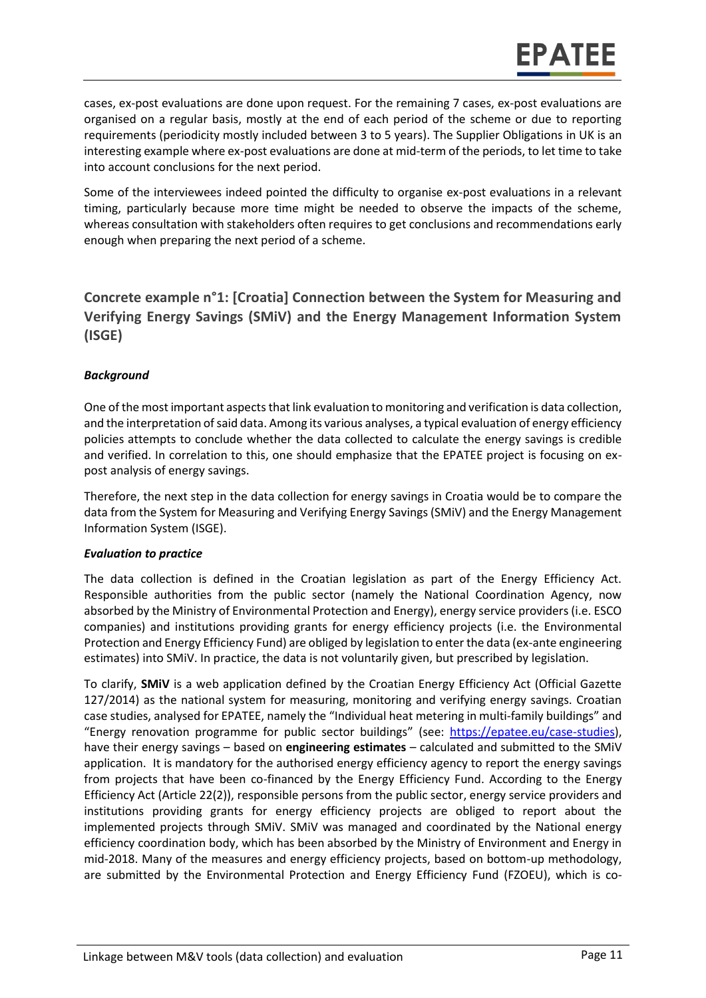cases, ex-post evaluations are done upon request. For the remaining 7 cases, ex-post evaluations are organised on a regular basis, mostly at the end of each period of the scheme or due to reporting requirements (periodicity mostly included between 3 to 5 years). The Supplier Obligations in UK is an interesting example where ex-post evaluations are done at mid-term of the periods, to let time to take into account conclusions for the next period.

Some of the interviewees indeed pointed the difficulty to organise ex-post evaluations in a relevant timing, particularly because more time might be needed to observe the impacts of the scheme, whereas consultation with stakeholders often requires to get conclusions and recommendations early enough when preparing the next period of a scheme.

<span id="page-10-0"></span>**Concrete example n°1: [Croatia] Connection between the System for Measuring and Verifying Energy Savings (SMiV) and the Energy Management Information System (ISGE)**

#### *Background*

One of the most important aspects that link evaluation to monitoring and verification is data collection, and the interpretation of said data. Among its various analyses, a typical evaluation of energy efficiency policies attempts to conclude whether the data collected to calculate the energy savings is credible and verified. In correlation to this, one should emphasize that the EPATEE project is focusing on expost analysis of energy savings.

Therefore, the next step in the data collection for energy savings in Croatia would be to compare the data from the System for Measuring and Verifying Energy Savings (SMiV) and the Energy Management Information System (ISGE).

#### *Evaluation to practice*

The data collection is defined in the Croatian legislation as part of the Energy Efficiency Act. Responsible authorities from the public sector (namely the National Coordination Agency, now absorbed by the Ministry of Environmental Protection and Energy), energy service providers (i.e. ESCO companies) and institutions providing grants for energy efficiency projects (i.e. the Environmental Protection and Energy Efficiency Fund) are obliged by legislation to enter the data (ex-ante engineering estimates) into SMiV. In practice, the data is not voluntarily given, but prescribed by legislation.

To clarify, **SMiV** is a web application defined by the Croatian Energy Efficiency Act (Official Gazette 127/2014) as the national system for measuring, monitoring and verifying energy savings. Croatian case studies, analysed for EPATEE, namely the "Individual heat metering in multi-family buildings" and "Energy renovation programme for public sector buildings" (see: [https://epatee.eu/case-studies\)](https://epatee.eu/case-studies), have their energy savings – based on **engineering estimates** – calculated and submitted to the SMiV application. It is mandatory for the authorised energy efficiency agency to report the energy savings from projects that have been co-financed by the Energy Efficiency Fund. According to the Energy Efficiency Act (Article 22(2)), responsible persons from the public sector, energy service providers and institutions providing grants for energy efficiency projects are obliged to report about the implemented projects through SMiV. SMiV was managed and coordinated by the National energy efficiency coordination body, which has been absorbed by the Ministry of Environment and Energy in mid-2018. Many of the measures and energy efficiency projects, based on bottom-up methodology, are submitted by the Environmental Protection and Energy Efficiency Fund (FZOEU), which is co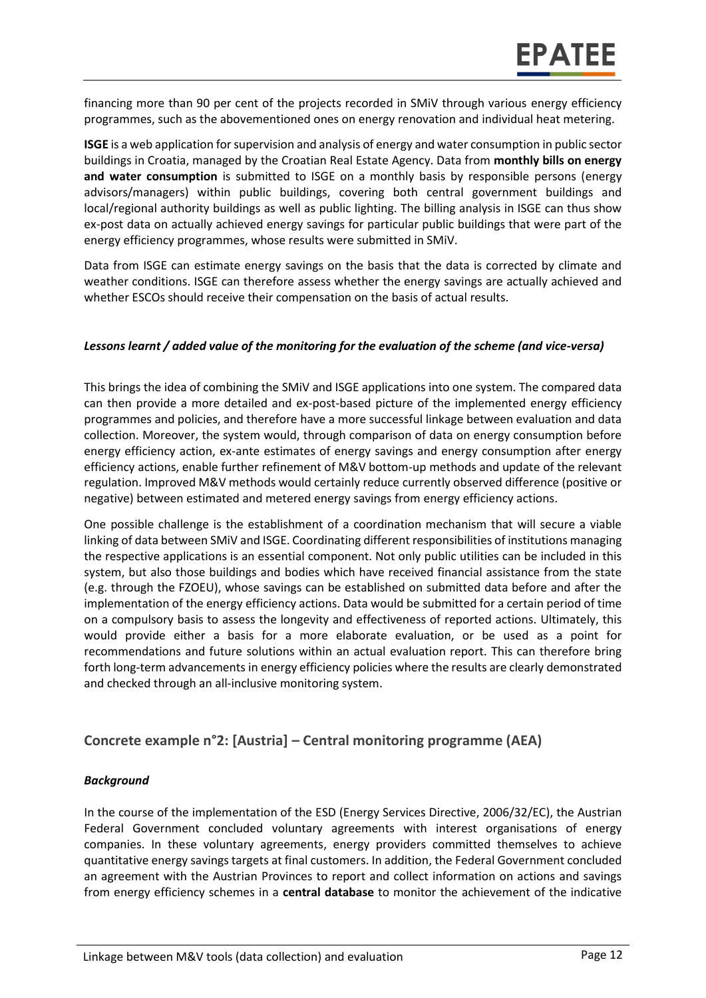financing more than 90 per cent of the projects recorded in SMiV through various energy efficiency programmes, such as the abovementioned ones on energy renovation and individual heat metering.

**ISGE** is a web application for supervision and analysis of energy and water consumption in public sector buildings in Croatia, managed by the Croatian Real Estate Agency. Data from **monthly bills on energy and water consumption** is submitted to ISGE on a monthly basis by responsible persons (energy advisors/managers) within public buildings, covering both central government buildings and local/regional authority buildings as well as public lighting. The billing analysis in ISGE can thus show ex-post data on actually achieved energy savings for particular public buildings that were part of the energy efficiency programmes, whose results were submitted in SMiV.

Data from ISGE can estimate energy savings on the basis that the data is corrected by climate and weather conditions. ISGE can therefore assess whether the energy savings are actually achieved and whether ESCOs should receive their compensation on the basis of actual results.

#### *Lessons learnt / added value of the monitoring for the evaluation of the scheme (and vice-versa)*

This brings the idea of combining the SMiV and ISGE applications into one system. The compared data can then provide a more detailed and ex-post-based picture of the implemented energy efficiency programmes and policies, and therefore have a more successful linkage between evaluation and data collection. Moreover, the system would, through comparison of data on energy consumption before energy efficiency action, ex-ante estimates of energy savings and energy consumption after energy efficiency actions, enable further refinement of M&V bottom-up methods and update of the relevant regulation. Improved M&V methods would certainly reduce currently observed difference (positive or negative) between estimated and metered energy savings from energy efficiency actions.

One possible challenge is the establishment of a coordination mechanism that will secure a viable linking of data between SMiV and ISGE. Coordinating different responsibilities of institutions managing the respective applications is an essential component. Not only public utilities can be included in this system, but also those buildings and bodies which have received financial assistance from the state (e.g. through the FZOEU), whose savings can be established on submitted data before and after the implementation of the energy efficiency actions. Data would be submitted for a certain period of time on a compulsory basis to assess the longevity and effectiveness of reported actions. Ultimately, this would provide either a basis for a more elaborate evaluation, or be used as a point for recommendations and future solutions within an actual evaluation report. This can therefore bring forth long-term advancements in energy efficiency policies where the results are clearly demonstrated and checked through an all-inclusive monitoring system.

#### <span id="page-11-0"></span>**Concrete example n°2: [Austria] – Central monitoring programme (AEA)**

#### *Background*

In the course of the implementation of the ESD (Energy Services Directive, 2006/32/EC), the Austrian Federal Government concluded voluntary agreements with interest organisations of energy companies. In these voluntary agreements, energy providers committed themselves to achieve quantitative energy savings targets at final customers. In addition, the Federal Government concluded an agreement with the Austrian Provinces to report and collect information on actions and savings from energy efficiency schemes in a **central database** to monitor the achievement of the indicative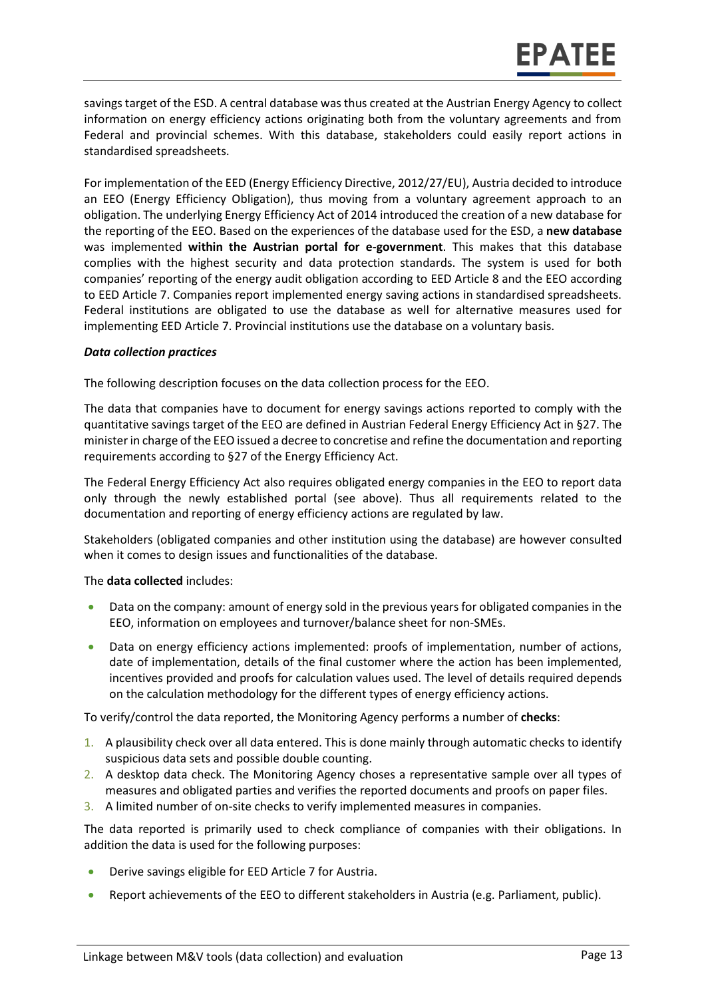savings target of the ESD. A central database was thus created at the Austrian Energy Agency to collect information on energy efficiency actions originating both from the voluntary agreements and from Federal and provincial schemes. With this database, stakeholders could easily report actions in standardised spreadsheets.

For implementation of the EED (Energy Efficiency Directive, 2012/27/EU), Austria decided to introduce an EEO (Energy Efficiency Obligation), thus moving from a voluntary agreement approach to an obligation. The underlying Energy Efficiency Act of 2014 introduced the creation of a new database for the reporting of the EEO. Based on the experiences of the database used for the ESD, a **new database** was implemented **within the Austrian portal for e-government**. This makes that this database complies with the highest security and data protection standards. The system is used for both companies' reporting of the energy audit obligation according to EED Article 8 and the EEO according to EED Article 7. Companies report implemented energy saving actions in standardised spreadsheets. Federal institutions are obligated to use the database as well for alternative measures used for implementing EED Article 7. Provincial institutions use the database on a voluntary basis.

#### *Data collection practices*

The following description focuses on the data collection process for the EEO.

The data that companies have to document for energy savings actions reported to comply with the quantitative savings target of the EEO are defined in Austrian Federal Energy Efficiency Act in §27. The minister in charge of the EEO issued a decree to concretise and refine the documentation and reporting requirements according to §27 of the Energy Efficiency Act.

The Federal Energy Efficiency Act also requires obligated energy companies in the EEO to report data only through the newly established portal (see above). Thus all requirements related to the documentation and reporting of energy efficiency actions are regulated by law.

Stakeholders (obligated companies and other institution using the database) are however consulted when it comes to design issues and functionalities of the database.

#### The **data collected** includes:

- Data on the company: amount of energy sold in the previous years for obligated companies in the EEO, information on employees and turnover/balance sheet for non-SMEs.
- Data on energy efficiency actions implemented: proofs of implementation, number of actions, date of implementation, details of the final customer where the action has been implemented, incentives provided and proofs for calculation values used. The level of details required depends on the calculation methodology for the different types of energy efficiency actions.

To verify/control the data reported, the Monitoring Agency performs a number of **checks**:

- 1. A plausibility check over all data entered. This is done mainly through automatic checks to identify suspicious data sets and possible double counting.
- 2. A desktop data check. The Monitoring Agency choses a representative sample over all types of measures and obligated parties and verifies the reported documents and proofs on paper files.
- 3. A limited number of on-site checks to verify implemented measures in companies.

The data reported is primarily used to check compliance of companies with their obligations. In addition the data is used for the following purposes:

- Derive savings eligible for EED Article 7 for Austria.
- Report achievements of the EEO to different stakeholders in Austria (e.g. Parliament, public).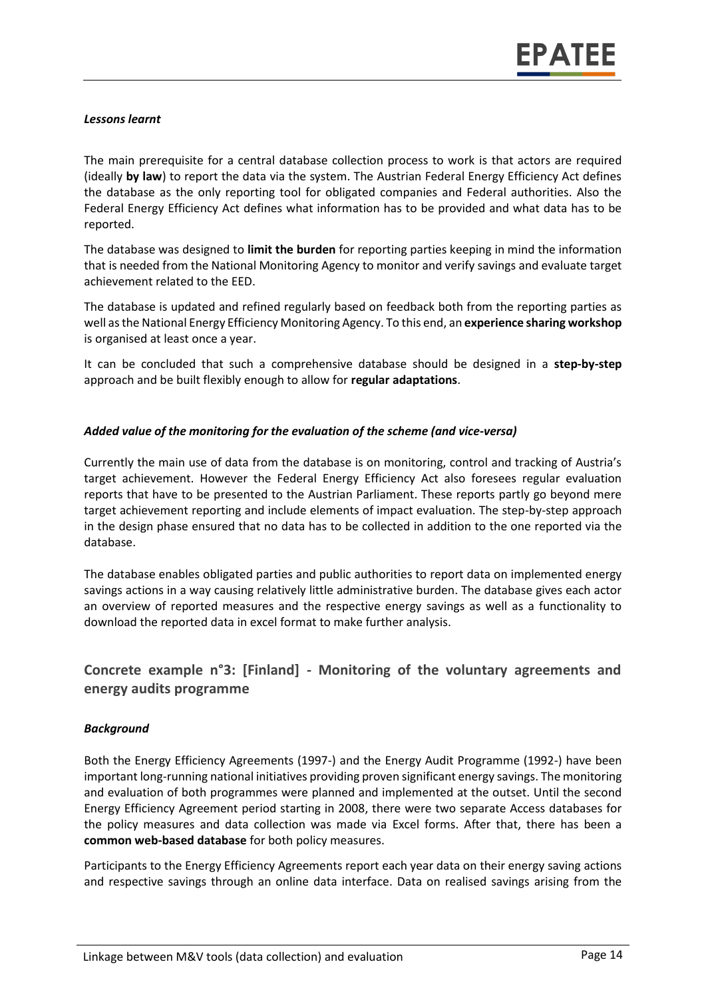#### *Lessons learnt*

The main prerequisite for a central database collection process to work is that actors are required (ideally **by law**) to report the data via the system. The Austrian Federal Energy Efficiency Act defines the database as the only reporting tool for obligated companies and Federal authorities. Also the Federal Energy Efficiency Act defines what information has to be provided and what data has to be reported.

The database was designed to **limit the burden** for reporting parties keeping in mind the information that is needed from the National Monitoring Agency to monitor and verify savings and evaluate target achievement related to the EED.

The database is updated and refined regularly based on feedback both from the reporting parties as well as the National Energy Efficiency Monitoring Agency. To this end, an **experience sharing workshop** is organised at least once a year.

It can be concluded that such a comprehensive database should be designed in a **step-by-step** approach and be built flexibly enough to allow for **regular adaptations**.

#### *Added value of the monitoring for the evaluation of the scheme (and vice-versa)*

Currently the main use of data from the database is on monitoring, control and tracking of Austria's target achievement. However the Federal Energy Efficiency Act also foresees regular evaluation reports that have to be presented to the Austrian Parliament. These reports partly go beyond mere target achievement reporting and include elements of impact evaluation. The step-by-step approach in the design phase ensured that no data has to be collected in addition to the one reported via the database.

The database enables obligated parties and public authorities to report data on implemented energy savings actions in a way causing relatively little administrative burden. The database gives each actor an overview of reported measures and the respective energy savings as well as a functionality to download the reported data in excel format to make further analysis.

#### <span id="page-13-0"></span>**Concrete example n°3: [Finland] - Monitoring of the voluntary agreements and energy audits programme**

#### *Background*

Both the Energy Efficiency Agreements (1997-) and the Energy Audit Programme (1992-) have been important long-running national initiatives providing proven significant energy savings. The monitoring and evaluation of both programmes were planned and implemented at the outset. Until the second Energy Efficiency Agreement period starting in 2008, there were two separate Access databases for the policy measures and data collection was made via Excel forms. After that, there has been a **common web-based database** for both policy measures.

Participants to the Energy Efficiency Agreements report each year data on their energy saving actions and respective savings through an online data interface. Data on realised savings arising from the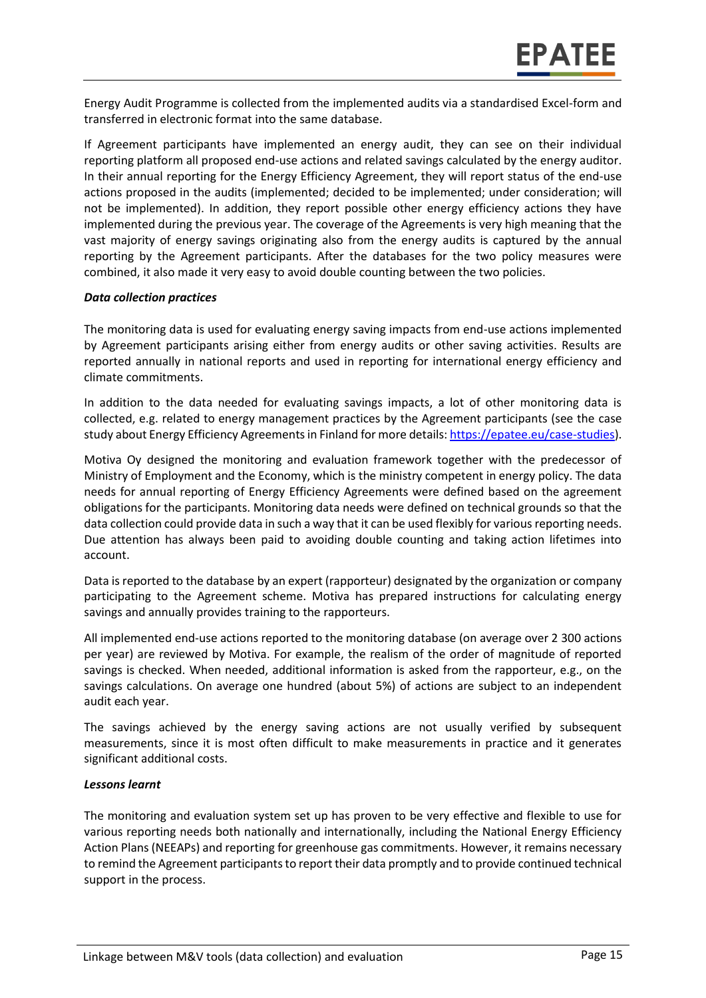Energy Audit Programme is collected from the implemented audits via a standardised Excel-form and transferred in electronic format into the same database.

If Agreement participants have implemented an energy audit, they can see on their individual reporting platform all proposed end-use actions and related savings calculated by the energy auditor. In their annual reporting for the Energy Efficiency Agreement, they will report status of the end-use actions proposed in the audits (implemented; decided to be implemented; under consideration; will not be implemented). In addition, they report possible other energy efficiency actions they have implemented during the previous year. The coverage of the Agreements is very high meaning that the vast majority of energy savings originating also from the energy audits is captured by the annual reporting by the Agreement participants. After the databases for the two policy measures were combined, it also made it very easy to avoid double counting between the two policies.

#### *Data collection practices*

The monitoring data is used for evaluating energy saving impacts from end-use actions implemented by Agreement participants arising either from energy audits or other saving activities. Results are reported annually in national reports and used in reporting for international energy efficiency and climate commitments.

In addition to the data needed for evaluating savings impacts, a lot of other monitoring data is collected, e.g. related to energy management practices by the Agreement participants (see the case study about Energy Efficiency Agreements in Finland for more details[: https://epatee.eu/case-studies\)](https://epatee.eu/case-studies).

Motiva Oy designed the monitoring and evaluation framework together with the predecessor of Ministry of Employment and the Economy, which is the ministry competent in energy policy. The data needs for annual reporting of Energy Efficiency Agreements were defined based on the agreement obligations for the participants. Monitoring data needs were defined on technical grounds so that the data collection could provide data in such a way that it can be used flexibly for various reporting needs. Due attention has always been paid to avoiding double counting and taking action lifetimes into account.

Data is reported to the database by an expert (rapporteur) designated by the organization or company participating to the Agreement scheme. Motiva has prepared instructions for calculating energy savings and annually provides training to the rapporteurs.

All implemented end-use actions reported to the monitoring database (on average over 2 300 actions per year) are reviewed by Motiva. For example, the realism of the order of magnitude of reported savings is checked. When needed, additional information is asked from the rapporteur, e.g., on the savings calculations. On average one hundred (about 5%) of actions are subject to an independent audit each year.

The savings achieved by the energy saving actions are not usually verified by subsequent measurements, since it is most often difficult to make measurements in practice and it generates significant additional costs.

#### *Lessons learnt*

The monitoring and evaluation system set up has proven to be very effective and flexible to use for various reporting needs both nationally and internationally, including the National Energy Efficiency Action Plans (NEEAPs) and reporting for greenhouse gas commitments. However, it remains necessary to remind the Agreement participants to report their data promptly and to provide continued technical support in the process.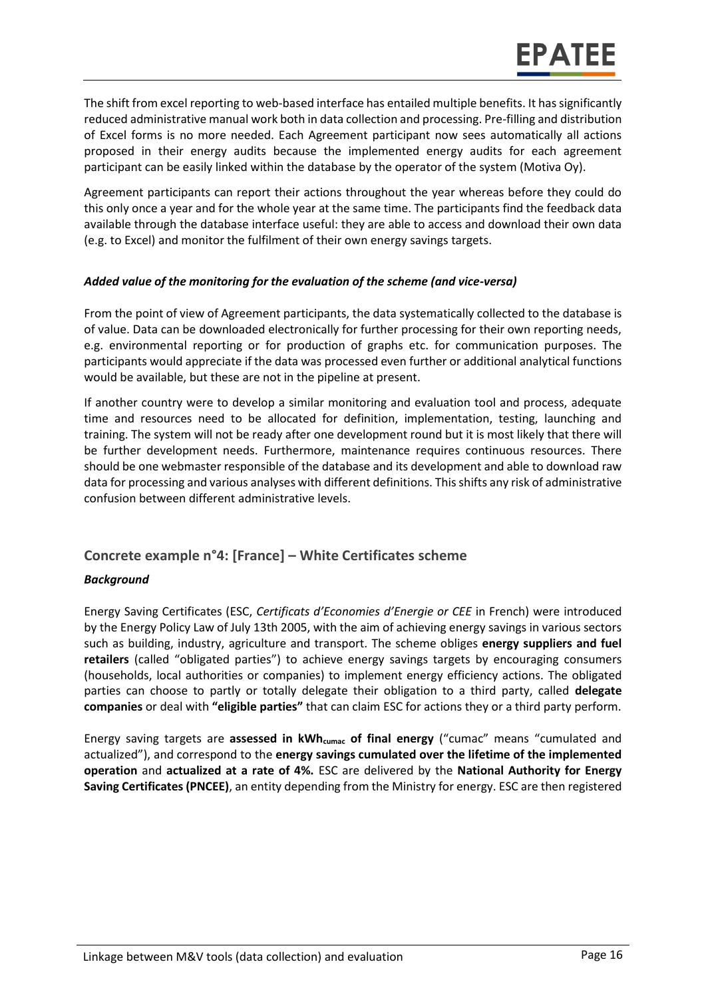The shift from excel reporting to web-based interface has entailed multiple benefits. It has significantly reduced administrative manual work both in data collection and processing. Pre-filling and distribution of Excel forms is no more needed. Each Agreement participant now sees automatically all actions proposed in their energy audits because the implemented energy audits for each agreement participant can be easily linked within the database by the operator of the system (Motiva Oy).

Agreement participants can report their actions throughout the year whereas before they could do this only once a year and for the whole year at the same time. The participants find the feedback data available through the database interface useful: they are able to access and download their own data (e.g. to Excel) and monitor the fulfilment of their own energy savings targets.

#### *Added value of the monitoring for the evaluation of the scheme (and vice-versa)*

From the point of view of Agreement participants, the data systematically collected to the database is of value. Data can be downloaded electronically for further processing for their own reporting needs, e.g. environmental reporting or for production of graphs etc. for communication purposes. The participants would appreciate if the data was processed even further or additional analytical functions would be available, but these are not in the pipeline at present.

If another country were to develop a similar monitoring and evaluation tool and process, adequate time and resources need to be allocated for definition, implementation, testing, launching and training. The system will not be ready after one development round but it is most likely that there will be further development needs. Furthermore, maintenance requires continuous resources. There should be one webmaster responsible of the database and its development and able to download raw data for processing and various analyses with different definitions. This shifts any risk of administrative confusion between different administrative levels.

#### <span id="page-15-0"></span>**Concrete example n°4: [France] – White Certificates scheme**

#### *Background*

Energy Saving Certificates (ESC, *Certificats d'Economies d'Energie or CEE* in French) were introduced by the Energy Policy Law of July 13th 2005, with the aim of achieving energy savings in various sectors such as building, industry, agriculture and transport. The scheme obliges **energy suppliers and fuel retailers** (called "obligated parties") to achieve energy savings targets by encouraging consumers (households, local authorities or companies) to implement energy efficiency actions. The obligated parties can choose to partly or totally delegate their obligation to a third party, called **delegate companies** or deal with **"eligible parties"** that can claim ESC for actions they or a third party perform.

Energy saving targets are **assessed in kWhcumac of final energy** ("cumac" means "cumulated and actualized"), and correspond to the **energy savings cumulated over the lifetime of the implemented operation** and **actualized at a rate of 4%.** ESC are delivered by the **National Authority for Energy Saving Certificates (PNCEE)**, an entity depending from the Ministry for energy. ESC are then registered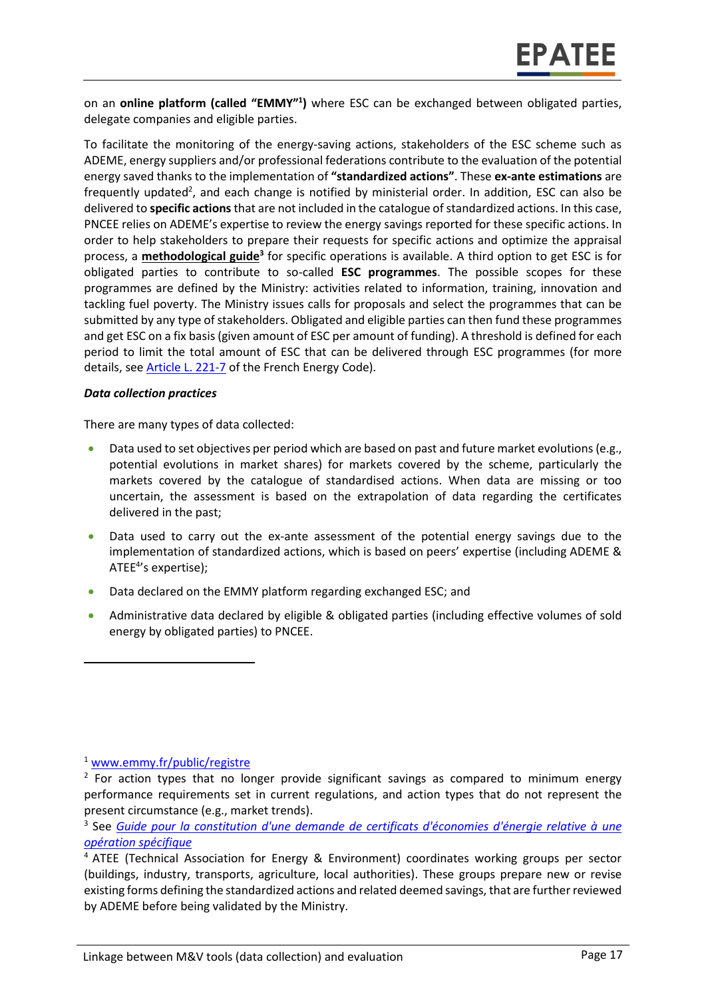on an **online platform (called "EMMY"<sup>1</sup> )** where ESC can be exchanged between obligated parties, delegate companies and eligible parties.

To facilitate the monitoring of the energy-saving actions, stakeholders of the ESC scheme such as ADEME, energy suppliers and/or professional federations contribute to the evaluation of the potential energy saved thanks to the implementation of **"standardized actions"**. These **ex-ante estimations** are frequently updated<sup>2</sup>, and each change is notified by ministerial order. In addition, ESC can also be delivered to **specific actions** that are not included in the catalogue of standardized actions. In this case, PNCEE relies on ADEME's expertise to review the energy savings reported for these specific actions. In order to help stakeholders to prepare their requests for specific actions and optimize the appraisal process, a **[methodological guide](http://www.ademe.fr/expertises/changement-climatique-energie/passer-a-laction/comment-valoriser-economies-denergie-cee/principes-fonctionnement-dispositif-cee)<sup>3</sup>** for specific operations is available. A third option to get ESC is for obligated parties to contribute to so-called **ESC programmes**. The possible scopes for these programmes are defined by the Ministry: activities related to information, training, innovation and tackling fuel poverty. The Ministry issues calls for proposals and select the programmes that can be submitted by any type of stakeholders. Obligated and eligible parties can then fund these programmes and get ESC on a fix basis (given amount of ESC per amount of funding). A threshold is defined for each period to limit the total amount of ESC that can be delivered through ESC programmes (for more details, see **Article L. 221-7** of the French Energy Code).

#### *Data collection practices*

There are many types of data collected:

- Data used to set objectives per period which are based on past and future market evolutions(e.g., potential evolutions in market shares) for markets covered by the scheme, particularly the markets covered by the catalogue of standardised actions. When data are missing or too uncertain, the assessment is based on the extrapolation of data regarding the certificates delivered in the past;
- Data used to carry out the ex-ante assessment of the potential energy savings due to the implementation of standardized actions, which is based on peers' expertise (including ADEME & ATEE<sup>4'</sup>s expertise);
- Data declared on the EMMY platform regarding exchanged ESC; and
- Administrative data declared by eligible & obligated parties (including effective volumes of sold energy by obligated parties) to PNCEE.

 $\overline{a}$ 

<sup>1</sup> [www.emmy.fr/public/registre](http://www.emmy.fr/public/registre)

 $2$  For action types that no longer provide significant savings as compared to minimum energy performance requirements set in current regulations, and action types that do not represent the present circumstance (e.g., market trends).

<sup>3</sup> See *[Guide pour la constitution d'une demande de certificats d'économies d'énergie relative à une](http://www.ademe.fr/sites/default/files/assets/documents/cee-operations_specifiques.pdf)  [opération spécifique](http://www.ademe.fr/sites/default/files/assets/documents/cee-operations_specifiques.pdf)*

<sup>4</sup> ATEE (Technical Association for Energy & Environment) coordinates working groups per sector (buildings, industry, transports, agriculture, local authorities). These groups prepare new or revise existing forms defining the standardized actions and related deemed savings, that are further reviewed by ADEME before being validated by the Ministry.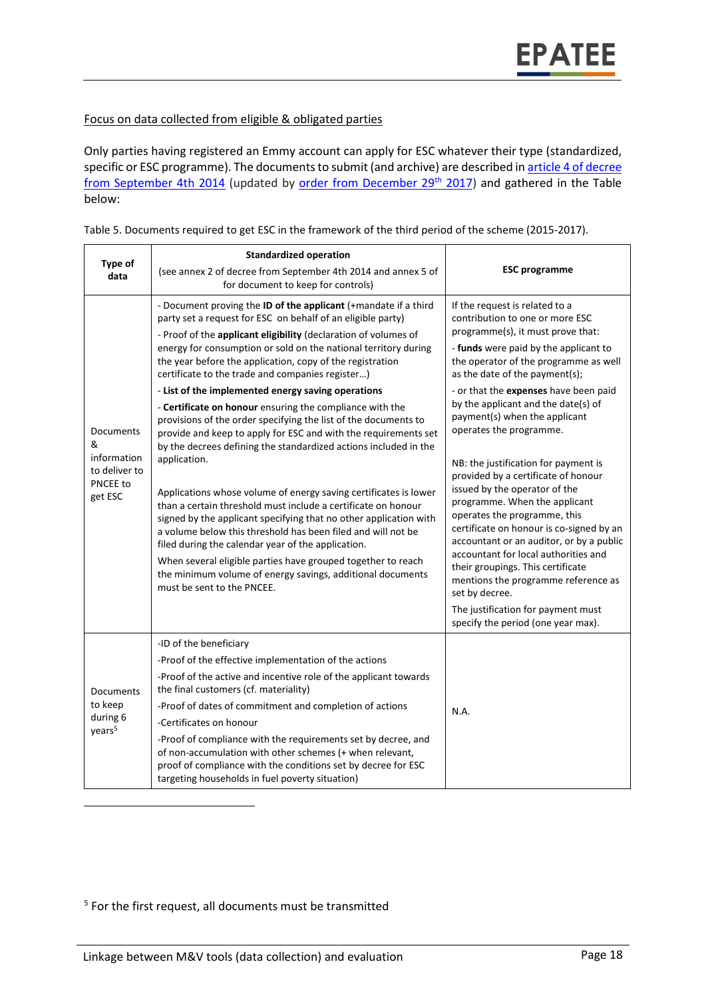#### Focus on data collected from eligible & obligated parties

Only parties having registered an Emmy account can apply for ESC whatever their type (standardized, specific or ESC programme). The documents to submit (and archive) are described in article 4 of decree [from September 4th 2014](https://www.legifrance.gouv.fr/affichTexte.do;jsessionid=313F42828B077197493A915164DEBB17.tpdila17v_1?cidTexte=JORFTEXT000029460644&dateTexte=20160401) (updated by [order from December 29](https://www.legifrance.gouv.fr/eli/arrete/2017/12/29/TRER1725884A/jo/texte)<sup>th</sup> 2017) and gathered in the Table below:

| Table 5. Documents required to get ESC in the framework of the third period of the scheme (2015-2017). |  |  |
|--------------------------------------------------------------------------------------------------------|--|--|
|                                                                                                        |  |  |

| Type of<br>data                                                       | <b>Standardized operation</b><br>(see annex 2 of decree from September 4th 2014 and annex 5 of<br>for document to keep for controls)                                                                                                                                                                                                                                                                                                                                                                                                                                                                                                                                                                                                                                                                                                                                                                                                                                                                                                                                                                                                                                                                                          | <b>ESC</b> programme                                                                                                                                                                                                                                                                                                                                                                                                                                                                                                                                                                                                                                                                                                                                                                                                                                              |
|-----------------------------------------------------------------------|-------------------------------------------------------------------------------------------------------------------------------------------------------------------------------------------------------------------------------------------------------------------------------------------------------------------------------------------------------------------------------------------------------------------------------------------------------------------------------------------------------------------------------------------------------------------------------------------------------------------------------------------------------------------------------------------------------------------------------------------------------------------------------------------------------------------------------------------------------------------------------------------------------------------------------------------------------------------------------------------------------------------------------------------------------------------------------------------------------------------------------------------------------------------------------------------------------------------------------|-------------------------------------------------------------------------------------------------------------------------------------------------------------------------------------------------------------------------------------------------------------------------------------------------------------------------------------------------------------------------------------------------------------------------------------------------------------------------------------------------------------------------------------------------------------------------------------------------------------------------------------------------------------------------------------------------------------------------------------------------------------------------------------------------------------------------------------------------------------------|
| Documents<br>&<br>information<br>to deliver to<br>PNCEE to<br>get ESC | - Document proving the ID of the applicant (+mandate if a third<br>party set a request for ESC on behalf of an eligible party)<br>- Proof of the applicant eligibility (declaration of volumes of<br>energy for consumption or sold on the national territory during<br>the year before the application, copy of the registration<br>certificate to the trade and companies register)<br>- List of the implemented energy saving operations<br>- Certificate on honour ensuring the compliance with the<br>provisions of the order specifying the list of the documents to<br>provide and keep to apply for ESC and with the requirements set<br>by the decrees defining the standardized actions included in the<br>application.<br>Applications whose volume of energy saving certificates is lower<br>than a certain threshold must include a certificate on honour<br>signed by the applicant specifying that no other application with<br>a volume below this threshold has been filed and will not be<br>filed during the calendar year of the application.<br>When several eligible parties have grouped together to reach<br>the minimum volume of energy savings, additional documents<br>must be sent to the PNCEE. | If the request is related to a<br>contribution to one or more ESC<br>programme(s), it must prove that:<br>- funds were paid by the applicant to<br>the operator of the programme as well<br>as the date of the payment(s);<br>- or that the expenses have been paid<br>by the applicant and the date(s) of<br>payment(s) when the applicant<br>operates the programme.<br>NB: the justification for payment is<br>provided by a certificate of honour<br>issued by the operator of the<br>programme. When the applicant<br>operates the programme, this<br>certificate on honour is co-signed by an<br>accountant or an auditor, or by a public<br>accountant for local authorities and<br>their groupings. This certificate<br>mentions the programme reference as<br>set by decree.<br>The justification for payment must<br>specify the period (one year max). |
| Documents<br>to keep<br>during 6<br>years <sup>5</sup>                | -ID of the beneficiary<br>-Proof of the effective implementation of the actions<br>-Proof of the active and incentive role of the applicant towards<br>the final customers (cf. materiality)<br>-Proof of dates of commitment and completion of actions<br>-Certificates on honour<br>-Proof of compliance with the requirements set by decree, and<br>of non-accumulation with other schemes (+ when relevant,<br>proof of compliance with the conditions set by decree for ESC<br>targeting households in fuel poverty situation)                                                                                                                                                                                                                                                                                                                                                                                                                                                                                                                                                                                                                                                                                           | N.A.                                                                                                                                                                                                                                                                                                                                                                                                                                                                                                                                                                                                                                                                                                                                                                                                                                                              |

<sup>5</sup> For the first request, all documents must be transmitted

 $\overline{\phantom{a}}$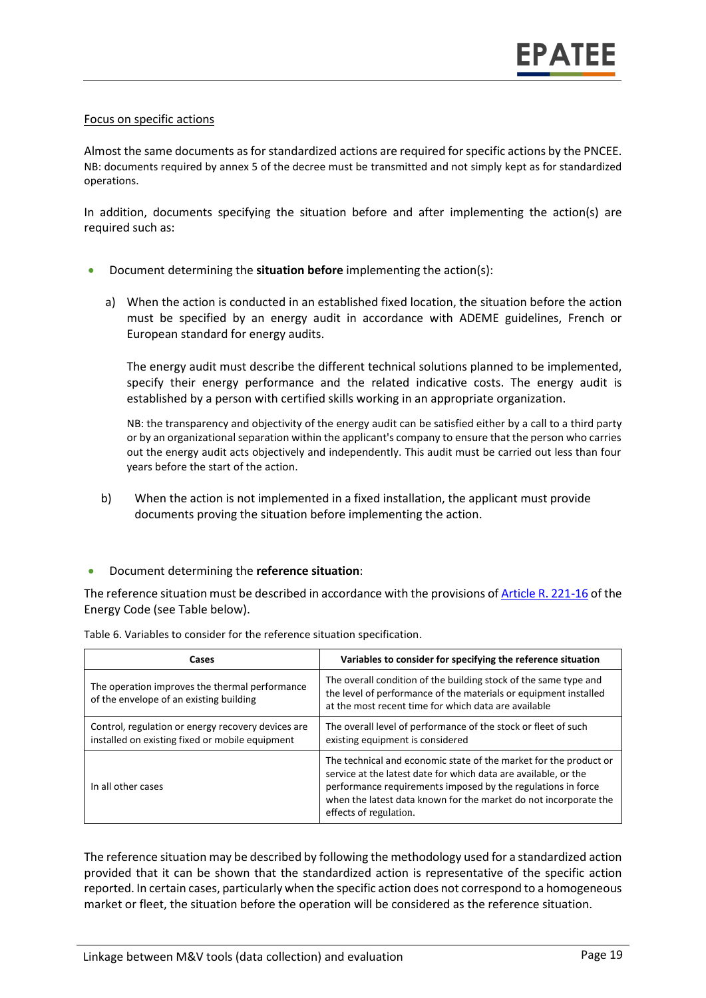#### Focus on specific actions

Almost the same documents as for standardized actions are required for specific actions by the PNCEE. NB: documents required by annex 5 of the decree must be transmitted and not simply kept as for standardized operations.

In addition, documents specifying the situation before and after implementing the action(s) are required such as:

- Document determining the **situation before** implementing the action(s):
	- a) When the action is conducted in an established fixed location, the situation before the action must be specified by an energy audit in accordance with ADEME guidelines, French or European standard for energy audits.

The energy audit must describe the different technical solutions planned to be implemented, specify their energy performance and the related indicative costs. The energy audit is established by a person with certified skills working in an appropriate organization.

NB: the transparency and objectivity of the energy audit can be satisfied either by a call to a third party or by an organizational separation within the applicant's company to ensure that the person who carries out the energy audit acts objectively and independently. This audit must be carried out less than four years before the start of the action.

b) When the action is not implemented in a fixed installation, the applicant must provide documents proving the situation before implementing the action.

#### Document determining the **reference situation**:

The reference situation must be described in accordance with the provisions o[f Article R. 221-16](https://www.legifrance.gouv.fr/affichCodeArticle.do;jsessionid=2DD0B4ED42C67C48511029DC37BA511F.tplgfr38s_2?idArticle=LEGIARTI000036466056&cidTexte=LEGITEXT000023983208&dateTexte=20180918) of the Energy Code (see Table below).

| Cases                                                                                                 | Variables to consider for specifying the reference situation                                                                                                                                                                                                                                       |
|-------------------------------------------------------------------------------------------------------|----------------------------------------------------------------------------------------------------------------------------------------------------------------------------------------------------------------------------------------------------------------------------------------------------|
| The operation improves the thermal performance<br>of the envelope of an existing building             | The overall condition of the building stock of the same type and<br>the level of performance of the materials or equipment installed<br>at the most recent time for which data are available                                                                                                       |
| Control, regulation or energy recovery devices are<br>installed on existing fixed or mobile equipment | The overall level of performance of the stock or fleet of such<br>existing equipment is considered                                                                                                                                                                                                 |
| In all other cases                                                                                    | The technical and economic state of the market for the product or<br>service at the latest date for which data are available, or the<br>performance requirements imposed by the regulations in force<br>when the latest data known for the market do not incorporate the<br>effects of regulation. |

Table 6. Variables to consider for the reference situation specification.

The reference situation may be described by following the methodology used for a standardized action provided that it can be shown that the standardized action is representative of the specific action reported. In certain cases, particularly when the specific action does not correspond to a homogeneous market or fleet, the situation before the operation will be considered as the reference situation.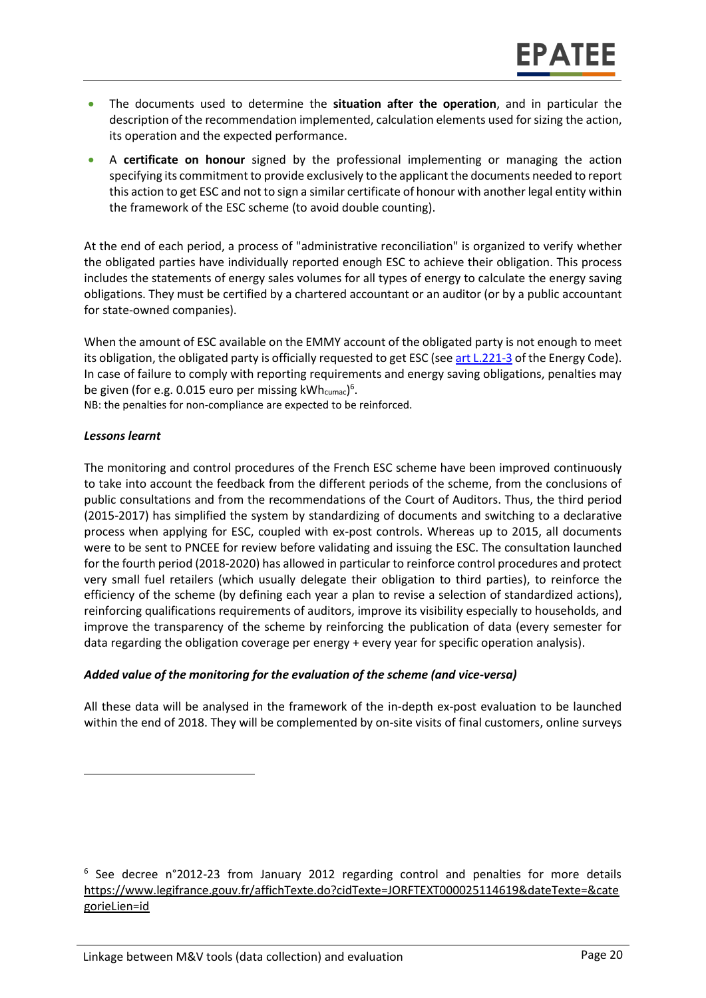- The documents used to determine the **situation after the operation**, and in particular the description of the recommendation implemented, calculation elements used for sizing the action, its operation and the expected performance.
- A **certificate on honour** signed by the professional implementing or managing the action specifying its commitment to provide exclusively to the applicant the documents needed to report this action to get ESC and not to sign a similar certificate of honour with another legal entity within the framework of the ESC scheme (to avoid double counting).

At the end of each period, a process of "administrative reconciliation" is organized to verify whether the obligated parties have individually reported enough ESC to achieve their obligation. This process includes the statements of energy sales volumes for all types of energy to calculate the energy saving obligations. They must be certified by a chartered accountant or an auditor (or by a public accountant for state-owned companies).

When the amount of ESC available on the EMMY account of the obligated party is not enough to meet its obligation, the obligated party is officially requested to get ESC (se[e art L.221-3](https://www.legifrance.gouv.fr/affichCodeArticle.do;jsessionid=2DD0B4ED42C67C48511029DC37BA511F.tplgfr38s_2?idArticle=LEGIARTI000023986212&cidTexte=LEGITEXT000023983208&dateTexte=20120406) of the Energy Code). In case of failure to comply with reporting requirements and energy saving obligations, penalties may be given (for e.g. 0.015 euro per missing kWh $_{\mathrm{cumac}}$ ) $^6$ .

NB: the penalties for non-compliance are expected to be reinforced.

#### *Lessons learnt*

 $\overline{\phantom{a}}$ 

The monitoring and control procedures of the French ESC scheme have been improved continuously to take into account the feedback from the different periods of the scheme, from the conclusions of public consultations and from the recommendations of the Court of Auditors. Thus, the third period (2015-2017) has simplified the system by standardizing of documents and switching to a declarative process when applying for ESC, coupled with ex-post controls. Whereas up to 2015, all documents were to be sent to PNCEE for review before validating and issuing the ESC. The consultation launched for the fourth period (2018-2020) has allowed in particular to reinforce control procedures and protect very small fuel retailers (which usually delegate their obligation to third parties), to reinforce the efficiency of the scheme (by defining each year a plan to revise a selection of standardized actions), reinforcing qualifications requirements of auditors, improve its visibility especially to households, and improve the transparency of the scheme by reinforcing the publication of data (every semester for data regarding the obligation coverage per energy + every year for specific operation analysis).

#### *Added value of the monitoring for the evaluation of the scheme (and vice-versa)*

All these data will be analysed in the framework of the in-depth ex-post evaluation to be launched within the end of 2018. They will be complemented by on-site visits of final customers, online surveys

<sup>6</sup> See decree n°2012-23 from January 2012 regarding control and penalties for more details [https://www.legifrance.gouv.fr/affichTexte.do?cidTexte=JORFTEXT000025114619&dateTexte=&cate](https://www.legifrance.gouv.fr/affichTexte.do?cidTexte=JORFTEXT000025114619&dateTexte=&categorieLien=id) [gorieLien=id](https://www.legifrance.gouv.fr/affichTexte.do?cidTexte=JORFTEXT000025114619&dateTexte=&categorieLien=id)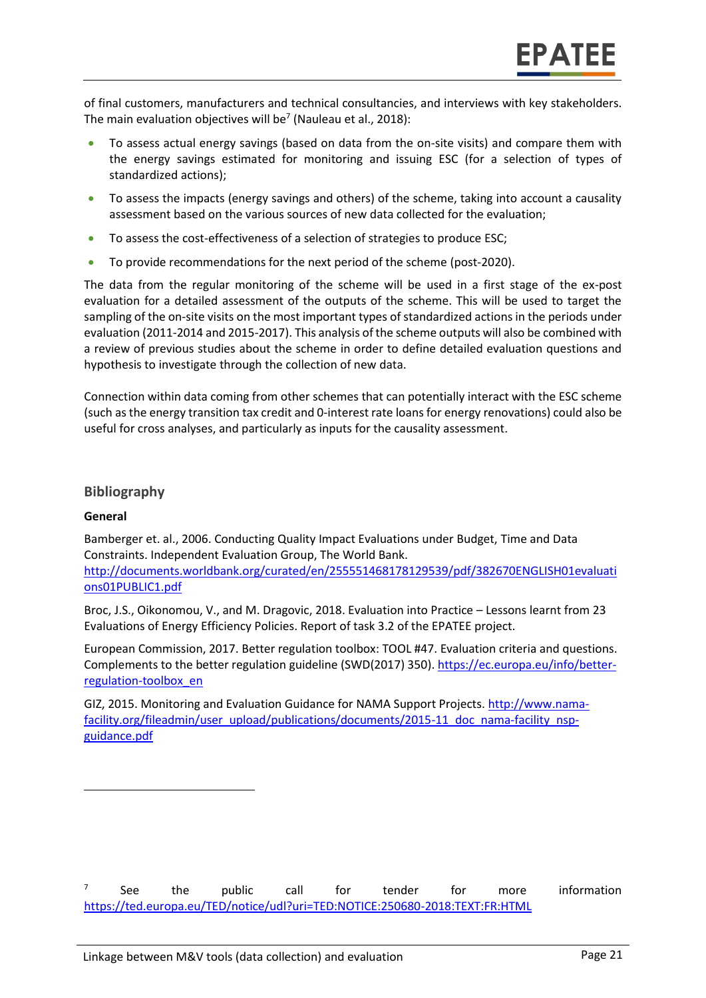of final customers, manufacturers and technical consultancies, and interviews with key stakeholders. The main evaluation objectives will be<sup>7</sup> (Nauleau et al., 2018):

- To assess actual energy savings (based on data from the on-site visits) and compare them with the energy savings estimated for monitoring and issuing ESC (for a selection of types of standardized actions);
- To assess the impacts (energy savings and others) of the scheme, taking into account a causality assessment based on the various sources of new data collected for the evaluation;
- To assess the cost-effectiveness of a selection of strategies to produce ESC;
- To provide recommendations for the next period of the scheme (post-2020).

The data from the regular monitoring of the scheme will be used in a first stage of the ex-post evaluation for a detailed assessment of the outputs of the scheme. This will be used to target the sampling of the on-site visits on the most important types of standardized actions in the periods under evaluation (2011-2014 and 2015-2017). This analysis of the scheme outputs will also be combined with a review of previous studies about the scheme in order to define detailed evaluation questions and hypothesis to investigate through the collection of new data.

Connection within data coming from other schemes that can potentially interact with the ESC scheme (such as the energy transition tax credit and 0-interest rate loans for energy renovations) could also be useful for cross analyses, and particularly as inputs for the causality assessment.

#### <span id="page-20-0"></span>**Bibliography**

#### **General**

 $\overline{\phantom{a}}$ 

Bamberger et. al., 2006. Conducting Quality Impact Evaluations under Budget, Time and Data Constraints. Independent Evaluation Group, The World Bank. [http://documents.worldbank.org/curated/en/255551468178129539/pdf/382670ENGLISH01evaluati](http://documents.worldbank.org/curated/en/255551468178129539/pdf/382670ENGLISH01evaluations01PUBLIC1.pdf) [ons01PUBLIC1.pdf](http://documents.worldbank.org/curated/en/255551468178129539/pdf/382670ENGLISH01evaluations01PUBLIC1.pdf)

Broc, J.S., Oikonomou, V., and M. Dragovic, 2018. Evaluation into Practice – Lessons learnt from 23 Evaluations of Energy Efficiency Policies. Report of task 3.2 of the EPATEE project.

European Commission, 2017. Better regulation toolbox: TOOL #47. Evaluation criteria and questions. Complements to the better regulation guideline (SWD(2017) 350). [https://ec.europa.eu/info/better](https://ec.europa.eu/info/better-regulation-toolbox_en)[regulation-toolbox\\_en](https://ec.europa.eu/info/better-regulation-toolbox_en)

GIZ, 2015. Monitoring and Evaluation Guidance for NAMA Support Projects[. http://www.nama](http://www.nama-facility.org/fileadmin/user_upload/publications/documents/2015-11_doc_nama-facility_nsp-guidance.pdf)[facility.org/fileadmin/user\\_upload/publications/documents/2015-11\\_doc\\_nama-facility\\_nsp](http://www.nama-facility.org/fileadmin/user_upload/publications/documents/2015-11_doc_nama-facility_nsp-guidance.pdf)[guidance.pdf](http://www.nama-facility.org/fileadmin/user_upload/publications/documents/2015-11_doc_nama-facility_nsp-guidance.pdf)

<sup>7</sup> See the public call for tender for more information <https://ted.europa.eu/TED/notice/udl?uri=TED:NOTICE:250680-2018:TEXT:FR:HTML>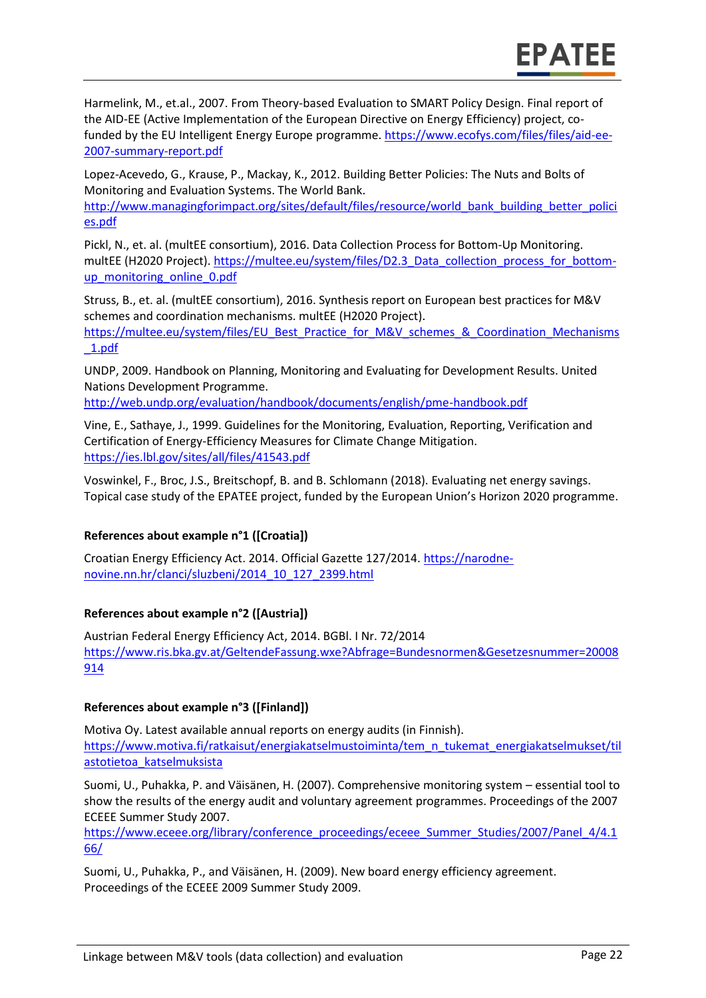Harmelink, M., et.al., 2007. From Theory-based Evaluation to SMART Policy Design. Final report of the AID-EE (Active Implementation of the European Directive on Energy Efficiency) project, cofunded by the EU Intelligent Energy Europe programme. [https://www.ecofys.com/files/files/aid-ee-](https://www.ecofys.com/files/files/aid-ee-2007-summary-report.pdf)[2007-summary-report.pdf](https://www.ecofys.com/files/files/aid-ee-2007-summary-report.pdf)

Lopez-Acevedo, G., Krause, P., Mackay, K., 2012. Building Better Policies: The Nuts and Bolts of Monitoring and Evaluation Systems. The World Bank.

[http://www.managingforimpact.org/sites/default/files/resource/world\\_bank\\_building\\_better\\_polici](http://www.managingforimpact.org/sites/default/files/resource/world_bank_building_better_policies.pdf) [es.pdf](http://www.managingforimpact.org/sites/default/files/resource/world_bank_building_better_policies.pdf)

Pickl, N., et. al. (multEE consortium), 2016. Data Collection Process for Bottom-Up Monitoring. multEE (H2020 Project). [https://multee.eu/system/files/D2.3\\_Data\\_collection\\_process\\_for\\_bottom](https://multee.eu/system/files/D2.3_Data_collection_process_for_bottom-up_monitoring_online_0.pdf)[up\\_monitoring\\_online\\_0.pdf](https://multee.eu/system/files/D2.3_Data_collection_process_for_bottom-up_monitoring_online_0.pdf)

Struss, B., et. al. (multEE consortium), 2016. Synthesis report on European best practices for M&V schemes and coordination mechanisms. multEE (H2020 Project).

[https://multee.eu/system/files/EU\\_Best\\_Practice\\_for\\_M&V\\_schemes\\_&\\_Coordination\\_Mechanisms](https://multee.eu/system/files/EU_Best_Practice_for_M&V_schemes_&_Coordination_Mechanisms_1.pdf) [\\_1.pdf](https://multee.eu/system/files/EU_Best_Practice_for_M&V_schemes_&_Coordination_Mechanisms_1.pdf)

UNDP, 2009. Handbook on Planning, Monitoring and Evaluating for Development Results. United Nations Development Programme.

<http://web.undp.org/evaluation/handbook/documents/english/pme-handbook.pdf>

Vine, E., Sathaye, J., 1999. Guidelines for the Monitoring, Evaluation, Reporting, Verification and Certification of Energy-Efficiency Measures for Climate Change Mitigation. <https://ies.lbl.gov/sites/all/files/41543.pdf>

Voswinkel, F., Broc, J.S., Breitschopf, B. and B. Schlomann (2018). Evaluating net energy savings. Topical case study of the EPATEE project, funded by the European Union's Horizon 2020 programme.

#### **References about example n°1 ([Croatia])**

Croatian Energy Efficiency Act. 2014. Official Gazette 127/2014. [https://narodne](https://narodne-novine.nn.hr/clanci/sluzbeni/2014_10_127_2399.html)[novine.nn.hr/clanci/sluzbeni/2014\\_10\\_127\\_2399.html](https://narodne-novine.nn.hr/clanci/sluzbeni/2014_10_127_2399.html)

#### **References about example n°2 ([Austria])**

Austrian Federal Energy Efficiency Act, 2014. BGBl. I Nr. 72/2014 [https://www.ris.bka.gv.at/GeltendeFassung.wxe?Abfrage=Bundesnormen&Gesetzesnummer=20008](https://www.ris.bka.gv.at/GeltendeFassung.wxe?Abfrage=Bundesnormen&Gesetzesnummer=20008914) [914](https://www.ris.bka.gv.at/GeltendeFassung.wxe?Abfrage=Bundesnormen&Gesetzesnummer=20008914)

#### **References about example n°3 ([Finland])**

Motiva Oy. Latest available annual reports on energy audits (in Finnish). [https://www.motiva.fi/ratkaisut/energiakatselmustoiminta/tem\\_n\\_tukemat\\_energiakatselmukset/til](https://www.motiva.fi/ratkaisut/energiakatselmustoiminta/tem_n_tukemat_energiakatselmukset/tilastotietoa_katselmuksista) [astotietoa\\_katselmuksista](https://www.motiva.fi/ratkaisut/energiakatselmustoiminta/tem_n_tukemat_energiakatselmukset/tilastotietoa_katselmuksista)

Suomi, U., Puhakka, P. and Väisänen, H. (2007). Comprehensive monitoring system – essential tool to show the results of the energy audit and voluntary agreement programmes. Proceedings of the 2007 ECEEE Summer Study 2007.

[https://www.eceee.org/library/conference\\_proceedings/eceee\\_Summer\\_Studies/2007/Panel\\_4/4.1](https://www.eceee.org/library/conference_proceedings/eceee_Summer_Studies/2007/Panel_4/4.166/) [66/](https://www.eceee.org/library/conference_proceedings/eceee_Summer_Studies/2007/Panel_4/4.166/) 

Suomi, U., Puhakka, P., and Väisänen, H. (2009). New board energy efficiency agreement. Proceedings of the ECEEE 2009 Summer Study 2009.